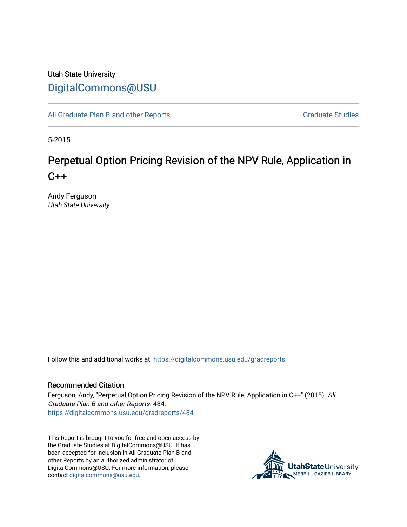# Utah State University [DigitalCommons@USU](https://digitalcommons.usu.edu/)

[All Graduate Plan B and other Reports](https://digitalcommons.usu.edu/gradreports) **Graduate Studies** Graduate Studies

5-2015

# Perpetual Option Pricing Revision of the NPV Rule, Application in  $C++$

Andy Ferguson Utah State University

Follow this and additional works at: [https://digitalcommons.usu.edu/gradreports](https://digitalcommons.usu.edu/gradreports?utm_source=digitalcommons.usu.edu%2Fgradreports%2F484&utm_medium=PDF&utm_campaign=PDFCoverPages)

# Recommended Citation

Ferguson, Andy, "Perpetual Option Pricing Revision of the NPV Rule, Application in C++" (2015). All Graduate Plan B and other Reports. 484. [https://digitalcommons.usu.edu/gradreports/484](https://digitalcommons.usu.edu/gradreports/484?utm_source=digitalcommons.usu.edu%2Fgradreports%2F484&utm_medium=PDF&utm_campaign=PDFCoverPages)

This Report is brought to you for free and open access by the Graduate Studies at DigitalCommons@USU. It has been accepted for inclusion in All Graduate Plan B and other Reports by an authorized administrator of DigitalCommons@USU. For more information, please contact [digitalcommons@usu.edu](mailto:digitalcommons@usu.edu).

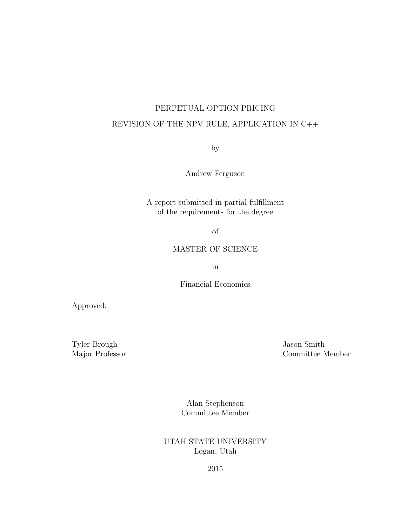# PERPETUAL OPTION PRICING

# REVISION OF THE NPV RULE, APPLICATION IN C++

by

Andrew Ferguson

A report submitted in partial fulfillment of the requirements for the degree

of

# MASTER OF SCIENCE

in

Financial Economics

Approved:

Tyler Brough Jason Smith

Major Professor Committee Member

Alan Stephenson Committee Member

UTAH STATE UNIVERSITY Logan, Utah

2015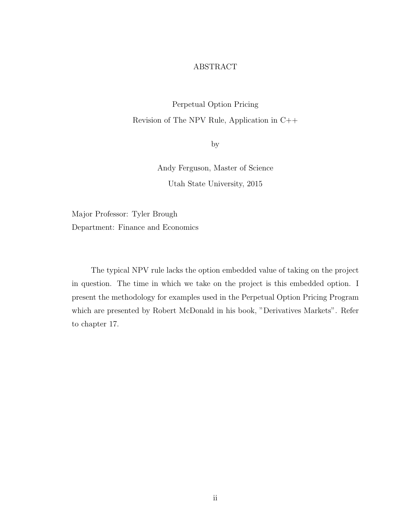# ABSTRACT

Perpetual Option Pricing

Revision of The NPV Rule, Application in C++

by

Andy Ferguson, Master of Science Utah State University, 2015

Major Professor: Tyler Brough Department: Finance and Economics

The typical NPV rule lacks the option embedded value of taking on the project in question. The time in which we take on the project is this embedded option. I present the methodology for examples used in the Perpetual Option Pricing Program which are presented by Robert McDonald in his book, "Derivatives Markets". Refer to chapter 17.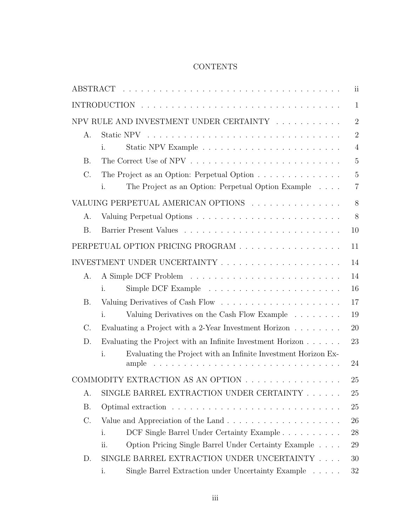# **CONTENTS**

|                 |                                                                                          | $\overline{\mathbf{u}}$ |  |  |
|-----------------|------------------------------------------------------------------------------------------|-------------------------|--|--|
|                 |                                                                                          | $\mathbf{1}$            |  |  |
|                 | NPV RULE AND INVESTMENT UNDER CERTAINTY                                                  | $\overline{2}$          |  |  |
| A.              |                                                                                          | $\overline{2}$          |  |  |
|                 | i.                                                                                       | $\overline{4}$          |  |  |
| <b>B.</b>       |                                                                                          |                         |  |  |
| $C$ .           | The Project as an Option: Perpetual Option $\dots \dots \dots \dots \dots$               | $\overline{5}$          |  |  |
|                 | The Project as an Option: Perpetual Option Example<br>i.                                 | $\overline{7}$          |  |  |
|                 | VALUING PERPETUAL AMERICAN OPTIONS                                                       | 8                       |  |  |
| А.              |                                                                                          |                         |  |  |
| <b>B.</b>       |                                                                                          | 10                      |  |  |
|                 | PERPETUAL OPTION PRICING PROGRAM                                                         | 11                      |  |  |
|                 |                                                                                          | 14                      |  |  |
| А.              |                                                                                          | 14                      |  |  |
|                 | i.                                                                                       | 16                      |  |  |
| <b>B.</b>       |                                                                                          | 17                      |  |  |
|                 | Valuing Derivatives on the Cash Flow Example<br>i.                                       | 19                      |  |  |
| $\mathcal{C}$ . | Evaluating a Project with a 2-Year Investment Horizon<br>20                              |                         |  |  |
| D.              | Evaluating the Project with an Infinite Investment Horizon                               | 23                      |  |  |
|                 | Evaluating the Project with an Infinite Investment Horizon Ex-<br>i.<br>ample            | 24                      |  |  |
|                 |                                                                                          |                         |  |  |
|                 | COMMODITY EXTRACTION AS AN OPTION                                                        | 25                      |  |  |
| А.              | SINGLE BARREL EXTRACTION UNDER CERTAINTY<br>25                                           |                         |  |  |
| <b>B.</b>       | 25                                                                                       |                         |  |  |
| $\mathcal{C}$ . | Value and Appreciation of the Land $\ldots$ $\ldots$ $\ldots$ $\ldots$ $\ldots$ $\ldots$ | 26                      |  |  |
|                 | DCF Single Barrel Under Certainty Example<br>i.                                          | $28\,$                  |  |  |
|                 | ii.<br>Option Pricing Single Barrel Under Certainty Example                              | 29                      |  |  |
| D.              | SINGLE BARREL EXTRACTION UNDER UNCERTAINTY                                               | 30                      |  |  |
|                 | Single Barrel Extraction under Uncertainty Example<br>i.                                 | 32                      |  |  |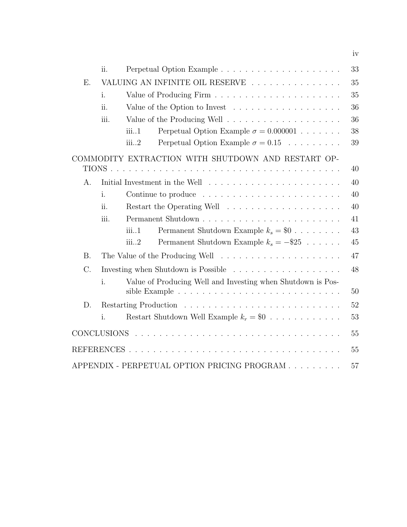|              | ii.  |                                                                  | 33 |  |
|--------------|------|------------------------------------------------------------------|----|--|
| Ε.           |      | VALUING AN INFINITE OIL RESERVE                                  | 35 |  |
|              | i.   |                                                                  | 35 |  |
|              | ii.  |                                                                  | 36 |  |
|              | iii. |                                                                  | 36 |  |
|              |      | Perpetual Option Example $\sigma = 0.000001$<br>iii.1            | 38 |  |
|              |      | Perpetual Option Example $\sigma = 0.15$<br>iii.2                | 39 |  |
| <b>TIONS</b> |      | COMMODITY EXTRACTION WITH SHUTDOWN AND RESTART OP-               | 40 |  |
| A.           |      |                                                                  | 40 |  |
|              | i.   |                                                                  | 40 |  |
|              | ii.  |                                                                  | 40 |  |
|              | iii. |                                                                  | 41 |  |
|              |      | Permanent Shutdown Example $k_s = $0 \dots \dots$<br>iii.1       | 43 |  |
|              |      | Permanent Shutdown Example $k_s = -\$25$<br>iii.2                | 45 |  |
| <b>B.</b>    |      |                                                                  |    |  |
| $C$ .        |      |                                                                  | 48 |  |
|              | i.   | Value of Producing Well and Investing when Shutdown is Pos-      | 50 |  |
| D.           |      |                                                                  | 52 |  |
|              | i.   | Restart Shutdown Well Example $k_r = $0 \dots \dots \dots \dots$ | 53 |  |
|              |      |                                                                  | 55 |  |
|              |      |                                                                  | 55 |  |
|              |      | APPENDIX - PERPETUAL OPTION PRICING PROGRAM                      | 57 |  |

iv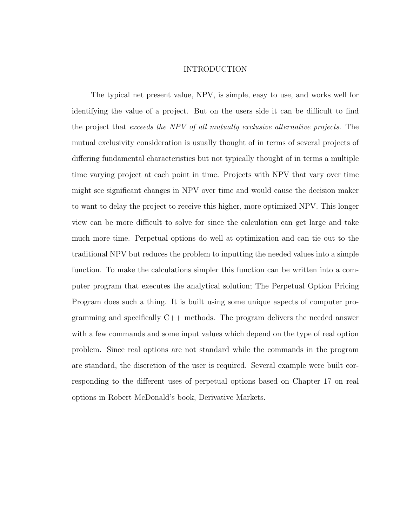# INTRODUCTION

The typical net present value, NPV, is simple, easy to use, and works well for identifying the value of a project. But on the users side it can be difficult to find the project that exceeds the NPV of all mutually exclusive alternative projects. The mutual exclusivity consideration is usually thought of in terms of several projects of differing fundamental characteristics but not typically thought of in terms a multiple time varying project at each point in time. Projects with NPV that vary over time might see significant changes in NPV over time and would cause the decision maker to want to delay the project to receive this higher, more optimized NPV. This longer view can be more difficult to solve for since the calculation can get large and take much more time. Perpetual options do well at optimization and can tie out to the traditional NPV but reduces the problem to inputting the needed values into a simple function. To make the calculations simpler this function can be written into a computer program that executes the analytical solution; The Perpetual Option Pricing Program does such a thing. It is built using some unique aspects of computer programming and specifically C++ methods. The program delivers the needed answer with a few commands and some input values which depend on the type of real option problem. Since real options are not standard while the commands in the program are standard, the discretion of the user is required. Several example were built corresponding to the different uses of perpetual options based on Chapter 17 on real options in Robert McDonald's book, Derivative Markets.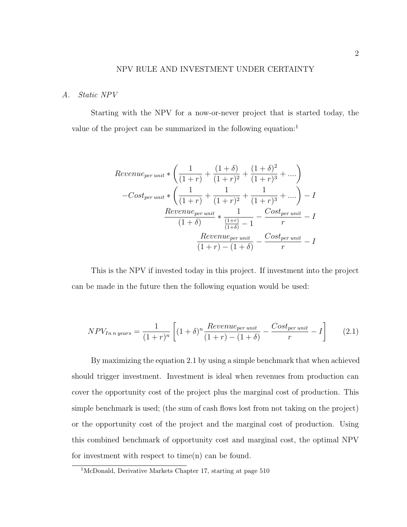#### NPV RULE AND INVESTMENT UNDER CERTAINTY

#### A. Static NPV

Starting with the NPV for a now-or-never project that is started today, the value of the project can be summarized in the following equation:<sup>1</sup>

$$
Revenue_{per\ unit} * \left(\frac{1}{(1+r)} + \frac{(1+\delta)}{(1+r)^2} + \frac{(1+\delta)^2}{(1+r)^3} + \dots\right)
$$

$$
-Cost_{per\ unit} * \left(\frac{1}{(1+r)} + \frac{1}{(1+r)^2} + \frac{1}{(1+r)^3} + \dots\right) - I
$$

$$
\frac{Revenue_{per\ unit}}{(1+\delta)} * \frac{1}{\frac{(1+r)}{(1+\delta)} - 1} - \frac{Cost_{per\ unit}}{r} - I
$$

$$
\frac{Revenue_{per\ unit}}{(1+r) - (1+\delta)} - \frac{Cost_{per\ unit}}{r} - I
$$

This is the NPV if invested today in this project. If investment into the project can be made in the future then the following equation would be used:

$$
NPV_{In\,n\,years} = \frac{1}{(1+r)^n} \left[ (1+\delta)^n \frac{Revenue_{per\,unit}}{(1+r)-(1+\delta)} - \frac{Cost_{per\,unit}}{r} - I \right] \tag{2.1}
$$

By maximizing the equation 2.1 by using a simple benchmark that when achieved should trigger investment. Investment is ideal when revenues from production can cover the opportunity cost of the project plus the marginal cost of production. This simple benchmark is used; (the sum of cash flows lost from not taking on the project) or the opportunity cost of the project and the marginal cost of production. Using this combined benchmark of opportunity cost and marginal cost, the optimal NPV for investment with respect to time(n) can be found.

<sup>1</sup>McDonald, Derivative Markets Chapter 17, starting at page 510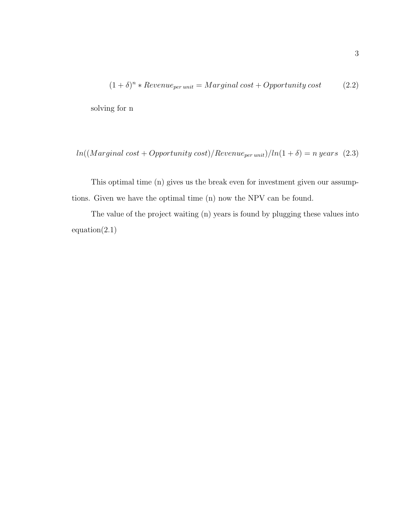$$
(1 + \delta)^n * Revenue_{per\ unit} = Marginal\ cost + Opportunity\ cost \qquad (2.2)
$$

solving for n

$$
ln((Marginal cost + Opportunity cost)/Revenue_{per unit})/ln(1 + \delta) = n \, years \, (2.3)
$$

This optimal time (n) gives us the break even for investment given our assumptions. Given we have the optimal time (n) now the NPV can be found.

The value of the project waiting (n) years is found by plugging these values into equation(2.1)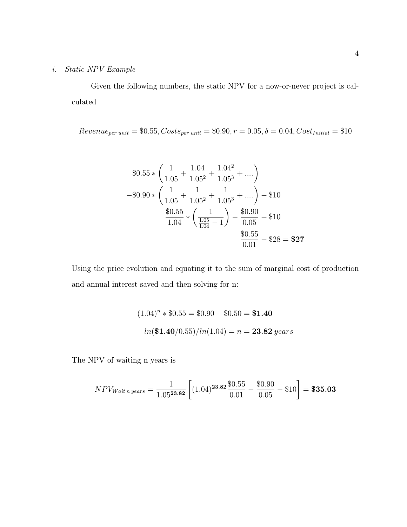# i. Static NPV Example

Given the following numbers, the static NPV for a now-or-never project is calculated

 $Revenue_{per\ unit} = $0.55, Cost_{per\ unit} = $0.90, r = 0.05, \delta = 0.04, Cost_{Initial} = $10$ 

$$
$0.55 * \left(\frac{1}{1.05} + \frac{1.04}{1.05^2} + \frac{1.04^2}{1.05^3} + \dots\right)
$$
  

$$
-$0.90 * \left(\frac{1}{1.05} + \frac{1}{1.05^2} + \frac{1}{1.05^3} + \dots\right) - $10
$$
  

$$
\frac{$0.55}{$1.04} * \left(\frac{1}{\frac{1.05}{1.04} - 1}\right) - \frac{$0.90}{$0.05} - $10
$$
  

$$
\frac{$0.55}{$0.01} - $28 = $27
$$

Using the price evolution and equating it to the sum of marginal cost of production and annual interest saved and then solving for n:

$$
(1.04)n * $0.55 = $0.90 + $0.50 = $1.40
$$

$$
ln($1.40/0.55)/ln(1.04) = n = 23.82 \, years
$$

The NPV of waiting n years is

$$
NPV_{Wait\,n\,years} = \frac{1}{1.05^{23.82}} \left[ (1.04)^{23.82} \frac{\$0.55}{0.01} - \frac{\$0.90}{0.05} - \$10 \right] = \$35.03
$$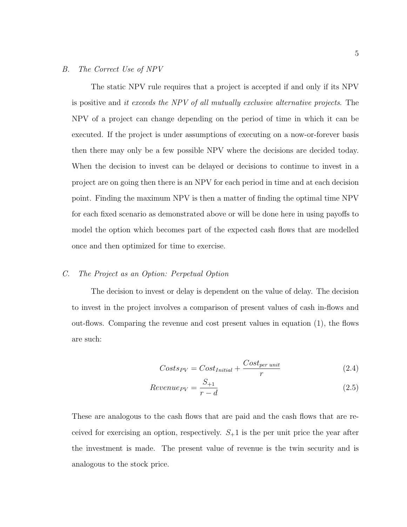# B. The Correct Use of NPV

The static NPV rule requires that a project is accepted if and only if its NPV is positive and it exceeds the NPV of all mutually exclusive alternative projects. The NPV of a project can change depending on the period of time in which it can be executed. If the project is under assumptions of executing on a now-or-forever basis then there may only be a few possible NPV where the decisions are decided today. When the decision to invest can be delayed or decisions to continue to invest in a project are on going then there is an NPV for each period in time and at each decision point. Finding the maximum NPV is then a matter of finding the optimal time NPV for each fixed scenario as demonstrated above or will be done here in using payoffs to model the option which becomes part of the expected cash flows that are modelled once and then optimized for time to exercise.

#### C. The Project as an Option: Perpetual Option

The decision to invest or delay is dependent on the value of delay. The decision to invest in the project involves a comparison of present values of cash in-flows and out-flows. Comparing the revenue and cost present values in equation (1), the flows are such:

$$
Costs_{PV} = Cost_{Initial} + \frac{Cost_{per\ unit}}{r}
$$
\n(2.4)

$$
Revenue_{PV} = \frac{S_{+1}}{r - d} \tag{2.5}
$$

These are analogous to the cash flows that are paid and the cash flows that are received for exercising an option, respectively.  $S<sub>+</sub>1$  is the per unit price the year after the investment is made. The present value of revenue is the twin security and is analogous to the stock price.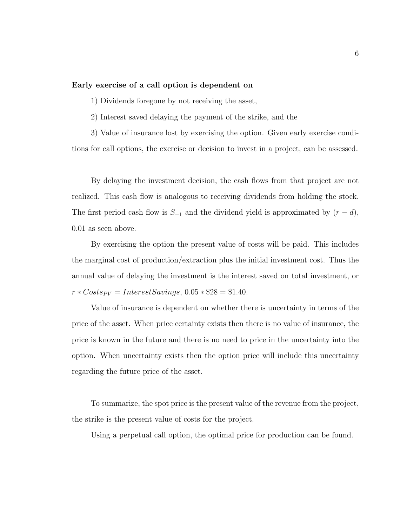#### Early exercise of a call option is dependent on

1) Dividends foregone by not receiving the asset,

2) Interest saved delaying the payment of the strike, and the

3) Value of insurance lost by exercising the option. Given early exercise conditions for call options, the exercise or decision to invest in a project, can be assessed.

By delaying the investment decision, the cash flows from that project are not realized. This cash flow is analogous to receiving dividends from holding the stock. The first period cash flow is  $S_{+1}$  and the dividend yield is approximated by  $(r - d)$ , 0.01 as seen above.

By exercising the option the present value of costs will be paid. This includes the marginal cost of production/extraction plus the initial investment cost. Thus the annual value of delaying the investment is the interest saved on total investment, or  $r * Costs_{PV} = InterestSavings, 0.05 * $28 = $1.40.$ 

Value of insurance is dependent on whether there is uncertainty in terms of the price of the asset. When price certainty exists then there is no value of insurance, the price is known in the future and there is no need to price in the uncertainty into the option. When uncertainty exists then the option price will include this uncertainty regarding the future price of the asset.

To summarize, the spot price is the present value of the revenue from the project, the strike is the present value of costs for the project.

Using a perpetual call option, the optimal price for production can be found.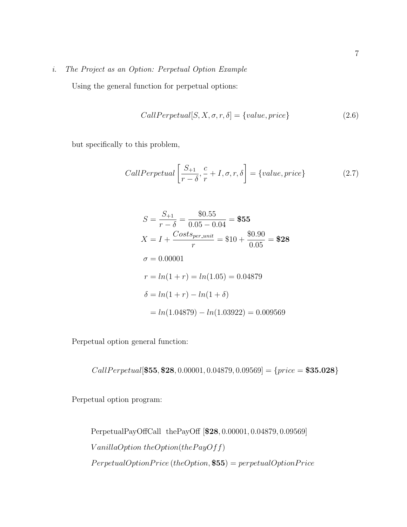# i. The Project as an Option: Perpetual Option Example

Using the general function for perpetual options:

$$
CallPerpetual[S, X, \sigma, r, \delta] = \{value, price\}
$$
\n
$$
(2.6)
$$

but specifically to this problem,

$$
CallPerpetual\left[\frac{S_{+1}}{r-\delta},\frac{c}{r}+I,\sigma,r,\delta\right] = \{value, price\}
$$
\n(2.7)

$$
S = \frac{S_{+1}}{r - \delta} = \frac{\$0.55}{0.05 - 0.04} = \$55
$$
  
\n
$$
X = I + \frac{Costs_{per\_unit}}{r} = \$10 + \frac{\$0.90}{0.05} = \$28
$$
  
\n
$$
\sigma = 0.00001
$$
  
\n
$$
r = \ln(1 + r) = \ln(1.05) = 0.04879
$$
  
\n
$$
\delta = \ln(1 + r) - \ln(1 + \delta)
$$
  
\n
$$
= \ln(1.04879) - \ln(1.03922) = 0.009569
$$

Perpetual option general function:

 $Call Perpetual$  [\$55, \$28, 0.00001, 0.04879, 0.09569] = {price = \$35.028}

Perpetual option program:

PerpetualPayOffCall thePayOff [\$28, 0.00001, 0.04879, 0.09569] VanillaOption theOption(the $PayOff)$  $PerpetualOption Price (theOption, $55) = perpetualOption Price$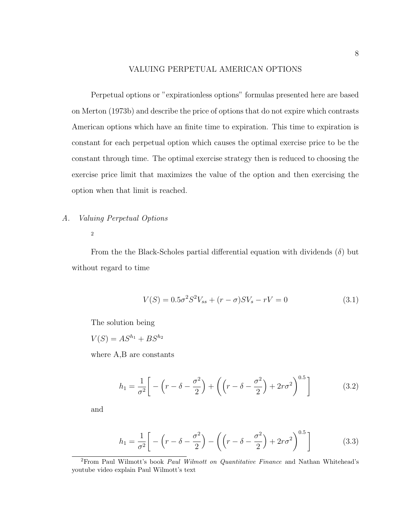# VALUING PERPETUAL AMERICAN OPTIONS

Perpetual options or "expirationless options" formulas presented here are based on Merton (1973b) and describe the price of options that do not expire which contrasts American options which have an finite time to expiration. This time to expiration is constant for each perpetual option which causes the optimal exercise price to be the constant through time. The optimal exercise strategy then is reduced to choosing the exercise price limit that maximizes the value of the option and then exercising the option when that limit is reached.

#### A. Valuing Perpetual Options

2

From the the Black-Scholes partial differential equation with dividends  $(\delta)$  but without regard to time

$$
V(S) = 0.5\sigma^2 S^2 V_{ss} + (r - \sigma)SV_s - rV = 0
$$
\n(3.1)

The solution being

 $V(S) = AS^{h_1} + BS^{h_2}$ 

where A,B are constants

$$
h_1 = \frac{1}{\sigma^2} \bigg[ -\left(r - \delta - \frac{\sigma^2}{2}\right) + \left(\left(r - \delta - \frac{\sigma^2}{2}\right) + 2r\sigma^2\right)^{0.5} \bigg] \tag{3.2}
$$

and

$$
h_1 = \frac{1}{\sigma^2} \bigg[ -\left(r - \delta - \frac{\sigma^2}{2}\right) - \left(\left(r - \delta - \frac{\sigma^2}{2}\right) + 2r\sigma^2\right)^{0.5} \bigg] \tag{3.3}
$$

<sup>2</sup>From Paul Wilmott's book Paul Wilmott on Quantitative Finance and Nathan Whitehead's youtube video explain Paul Wilmott's text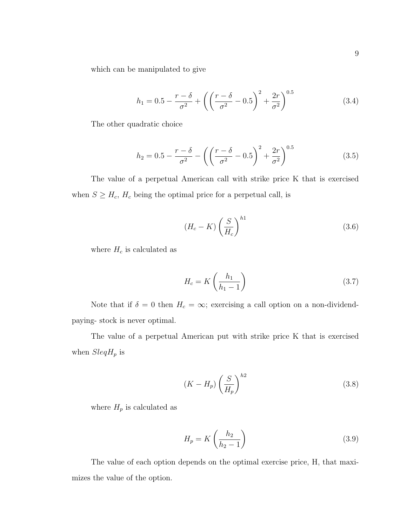which can be manipulated to give

$$
h_1 = 0.5 - \frac{r - \delta}{\sigma^2} + \left( \left( \frac{r - \delta}{\sigma^2} - 0.5 \right)^2 + \frac{2r}{\sigma^2} \right)^{0.5}
$$
 (3.4)

The other quadratic choice

$$
h_2 = 0.5 - \frac{r - \delta}{\sigma^2} - \left( \left( \frac{r - \delta}{\sigma^2} - 0.5 \right)^2 + \frac{2r}{\sigma^2} \right)^{0.5}
$$
 (3.5)

The value of a perpetual American call with strike price K that is exercised when  $S \geq H_c$ ,  $H_c$  being the optimal price for a perpetual call, is

$$
(H_c - K) \left(\frac{S}{H_c}\right)^{h1} \tag{3.6}
$$

where  $H_c$  is calculated as

$$
H_c = K \left(\frac{h_1}{h_1 - 1}\right) \tag{3.7}
$$

Note that if  $\delta = 0$  then  $H_c = \infty$ ; exercising a call option on a non-dividendpaying- stock is never optimal.

The value of a perpetual American put with strike price K that is exercised when  $S \nleq H_p$  is

$$
(K - H_p) \left(\frac{S}{H_p}\right)^{h2} \tag{3.8}
$$

where  $H_p$  is calculated as

$$
H_p = K\left(\frac{h_2}{h_2 - 1}\right) \tag{3.9}
$$

The value of each option depends on the optimal exercise price, H, that maximizes the value of the option.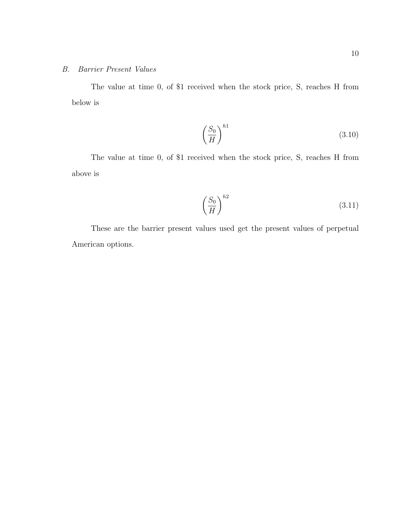# B. Barrier Present Values

The value at time 0, of \$1 received when the stock price, S, reaches H from below is

$$
\left(\frac{S_0}{H}\right)^{h1} \tag{3.10}
$$

The value at time 0, of \$1 received when the stock price, S, reaches H from above is

$$
\left(\frac{S_0}{H}\right)^{h2} \tag{3.11}
$$

These are the barrier present values used get the present values of perpetual American options.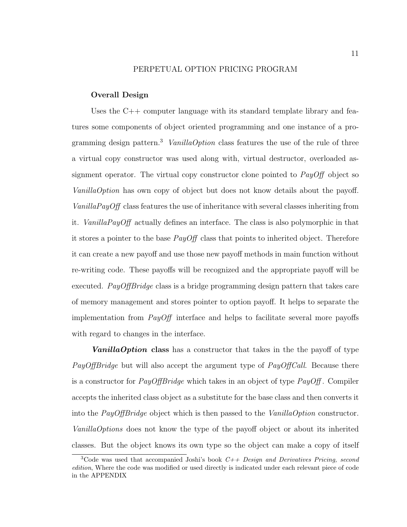# PERPETUAL OPTION PRICING PROGRAM

#### Overall Design

Uses the  $C++$  computer language with its standard template library and features some components of object oriented programming and one instance of a programming design pattern.<sup>3</sup> VanillaOption class features the use of the rule of three a virtual copy constructor was used along with, virtual destructor, overloaded assignment operator. The virtual copy constructor clone pointed to  $PayOff$  object so VanillaOption has own copy of object but does not know details about the payoff.  $VanillaPayOff$  class features the use of inheritance with several classes inheriting from it. VanillaPayOff actually defines an interface. The class is also polymorphic in that it stores a pointer to the base  $PayOff$  class that points to inherited object. Therefore it can create a new payoff and use those new payoff methods in main function without re-writing code. These payoffs will be recognized and the appropriate payoff will be executed. PayOffBridge class is a bridge programming design pattern that takes care of memory management and stores pointer to option payoff. It helps to separate the implementation from  $PayOff$  interface and helps to facilitate several more payoffs with regard to changes in the interface.

**Vanilla** Option class has a constructor that takes in the the payoff of type PayOffBridge but will also accept the argument type of PayOffCall. Because there is a constructor for  $PayOff Bridge$  which takes in an object of type  $PayOff$ . Compiler accepts the inherited class object as a substitute for the base class and then converts it into the *PayOffBridge* object which is then passed to the *VanillaOption* constructor. VanillaOptions does not know the type of the payoff object or about its inherited classes. But the object knows its own type so the object can make a copy of itself

<sup>&</sup>lt;sup>3</sup>Code was used that accompanied Joshi's book  $C++$  Design and Derivatives Pricing, second edition. Where the code was modified or used directly is indicated under each relevant piece of code in the APPENDIX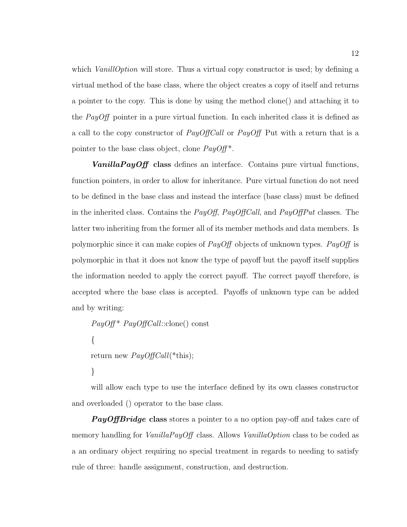which *VanillOption* will store. Thus a virtual copy constructor is used; by defining a virtual method of the base class, where the object creates a copy of itself and returns a pointer to the copy. This is done by using the method clone() and attaching it to the *PayOff* pointer in a pure virtual function. In each inherited class it is defined as a call to the copy constructor of  $PayOffCall$  or  $PayOff$  Put with a return that is a pointer to the base class object, clone  $PayOff^*$ .

**VanillaPayOff** class defines an interface. Contains pure virtual functions, function pointers, in order to allow for inheritance. Pure virtual function do not need to be defined in the base class and instead the interface (base class) must be defined in the inherited class. Contains the  $PayOff, PayOffCall$ , and  $PayOffPut$  classes. The latter two inheriting from the former all of its member methods and data members. Is polymorphic since it can make copies of  $PayOff$  objects of unknown types.  $PayOff$  is polymorphic in that it does not know the type of payoff but the payoff itself supplies the information needed to apply the correct payoff. The correct payoff therefore, is accepted where the base class is accepted. Payoffs of unknown type can be added and by writing:

 $PayOff^*$   $PayOffCall::clone()$  const { return new  $PayOffCall(*this);$ 

}

will allow each type to use the interface defined by its own classes constructor and overloaded () operator to the base class.

**PayOffBridge class** stores a pointer to a no option pay-off and takes care of memory handling for *VanillaPayOff* class. Allows *VanillaOption* class to be coded as a an ordinary object requiring no special treatment in regards to needing to satisfy rule of three: handle assignment, construction, and destruction.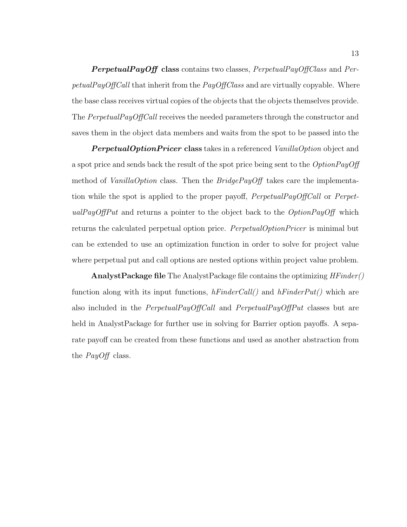PerpetualPayOff class contains two classes, PerpetualPayOffClass and PerpetualPayOffCall that inherit from the  $PayOffClass$  and are virtually copyable. Where the base class receives virtual copies of the objects that the objects themselves provide. The *PerpetualPayOffCall* receives the needed parameters through the constructor and saves them in the object data members and waits from the spot to be passed into the

**PerpetualOptionPricer class takes in a referenced VanillaOption object and** a spot price and sends back the result of the spot price being sent to the  $OptionPayOff$ method of *VanillaOption* class. Then the *BridgePayOff* takes care the implementation while the spot is applied to the proper payoff, *PerpetualPayOffCall* or *Perpet*ualPayOffPut and returns a pointer to the object back to the OptionPayOff which returns the calculated perpetual option price. *PerpetualOptionPricer* is minimal but can be extended to use an optimization function in order to solve for project value where perpetual put and call options are nested options within project value problem.

**AnalystPackage file** The AnalystPackage file contains the optimizing  $HFinder()$ function along with its input functions,  $hFinderCall()$  and  $hFinderPut()$  which are also included in the PerpetualPayOffCall and PerpetualPayOffPut classes but are held in AnalystPackage for further use in solving for Barrier option payoffs. A separate payoff can be created from these functions and used as another abstraction from the *PayOff* class.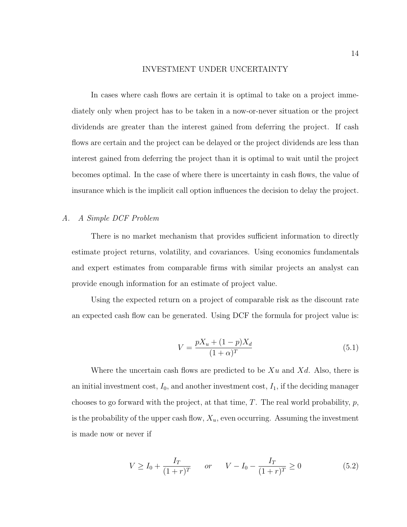### INVESTMENT UNDER UNCERTAINTY

In cases where cash flows are certain it is optimal to take on a project immediately only when project has to be taken in a now-or-never situation or the project dividends are greater than the interest gained from deferring the project. If cash flows are certain and the project can be delayed or the project dividends are less than interest gained from deferring the project than it is optimal to wait until the project becomes optimal. In the case of where there is uncertainty in cash flows, the value of insurance which is the implicit call option influences the decision to delay the project.

#### A. A Simple DCF Problem

There is no market mechanism that provides sufficient information to directly estimate project returns, volatility, and covariances. Using economics fundamentals and expert estimates from comparable firms with similar projects an analyst can provide enough information for an estimate of project value.

Using the expected return on a project of comparable risk as the discount rate an expected cash flow can be generated. Using DCF the formula for project value is:

$$
V = \frac{pX_u + (1 - p)X_d}{(1 + \alpha)^T}
$$
\n(5.1)

Where the uncertain cash flows are predicted to be  $Xu$  and  $Xd$ . Also, there is an initial investment cost,  $I_0$ , and another investment cost,  $I_1$ , if the deciding manager chooses to go forward with the project, at that time,  $T$ . The real world probability,  $p$ , is the probability of the upper cash flow,  $X_u$ , even occurring. Assuming the investment is made now or never if

$$
V \ge I_0 + \frac{I_T}{(1+r)^T} \qquad or \qquad V - I_0 - \frac{I_T}{(1+r)^T} \ge 0 \tag{5.2}
$$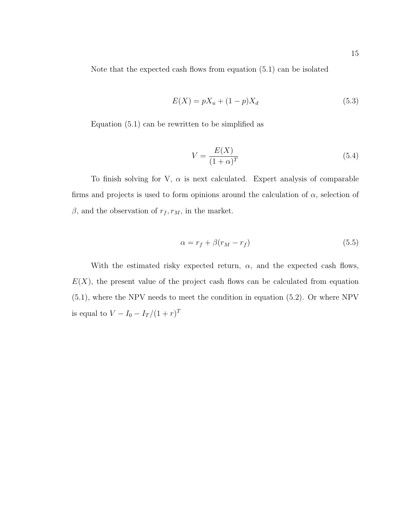Note that the expected cash flows from equation (5.1) can be isolated

$$
E(X) = pX_u + (1 - p)X_d
$$
\n(5.3)

Equation (5.1) can be rewritten to be simplified as

$$
V = \frac{E(X)}{(1+\alpha)^T} \tag{5.4}
$$

To finish solving for V,  $\alpha$  is next calculated. Expert analysis of comparable firms and projects is used to form opinions around the calculation of  $\alpha$ , selection of  $\beta$ , and the observation of  $r_f, r_M$ , in the market.

$$
\alpha = r_f + \beta (r_M - r_f) \tag{5.5}
$$

With the estimated risky expected return,  $\alpha$ , and the expected cash flows,  $E(X)$ , the present value of the project cash flows can be calculated from equation (5.1), where the NPV needs to meet the condition in equation (5.2). Or where NPV is equal to  $V - I_0 - I_T/(1+r)^T$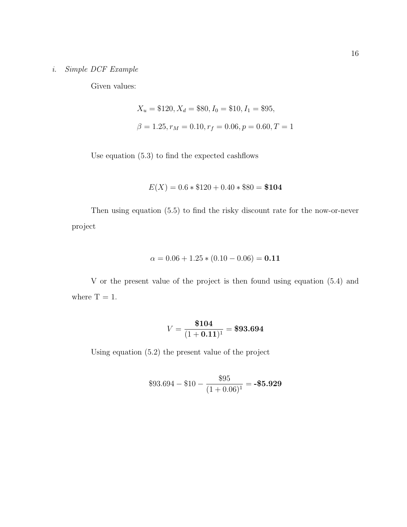# i. Simple DCF Example

Given values:

$$
X_u = \$120, X_d = \$80, I_0 = \$10, I_1 = \$95,
$$
  

$$
\beta = 1.25, r_M = 0.10, r_f = 0.06, p = 0.60, T = 1
$$

Use equation (5.3) to find the expected cashflows

$$
E(X) = 0.6 * $120 + 0.40 * $80 = $104
$$

Then using equation (5.5) to find the risky discount rate for the now-or-never project

$$
\alpha = 0.06 + 1.25 * (0.10 - 0.06) = 0.11
$$

V or the present value of the project is then found using equation (5.4) and where  $T = 1$ .

$$
V = \frac{$104}{(1+0.11)^1} = $93.694
$$

Using equation (5.2) the present value of the project

$$
$93.694 - $10 - \frac{$95}{(1+0.06)^1} = $5.929
$$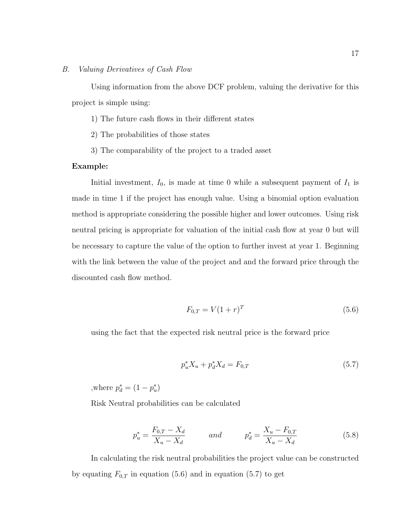### B. Valuing Derivatives of Cash Flow

Using information from the above DCF problem, valuing the derivative for this project is simple using:

1) The future cash flows in their different states

2) The probabilities of those states

3) The comparability of the project to a traded asset

#### Example:

Initial investment,  $I_0$ , is made at time 0 while a subsequent payment of  $I_1$  is made in time 1 if the project has enough value. Using a binomial option evaluation method is appropriate considering the possible higher and lower outcomes. Using risk neutral pricing is appropriate for valuation of the initial cash flow at year 0 but will be necessary to capture the value of the option to further invest at year 1. Beginning with the link between the value of the project and and the forward price through the discounted cash flow method.

$$
F_{0,T} = V(1+r)^{T}
$$
\n(5.6)

using the fact that the expected risk neutral price is the forward price

$$
p_u^* X_u + p_d^* X_d = F_{0,T} \tag{5.7}
$$

,where  $p_d^* = (1 - p_u^*)$ 

Risk Neutral probabilities can be calculated

$$
p_u^* = \frac{F_{0,T} - X_d}{X_u - X_d} \qquad \text{and} \qquad p_d^* = \frac{X_u - F_{0,T}}{X_u - X_d} \tag{5.8}
$$

In calculating the risk neutral probabilities the project value can be constructed by equating  $F_{0,T}$  in equation (5.6) and in equation (5.7) to get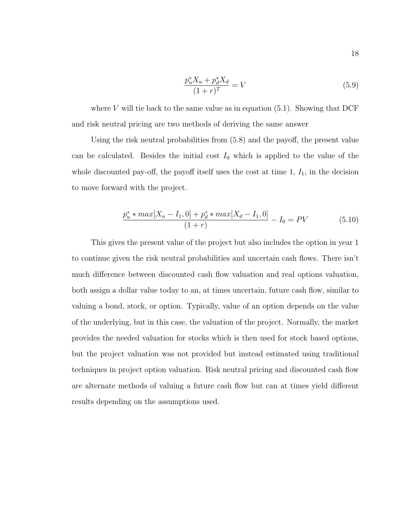$$
\frac{p_u^* X_u + p_d^* X_d}{(1+r)^T} = V \tag{5.9}
$$

where V will tie back to the same value as in equation  $(5.1)$ . Showing that DCF and risk neutral pricing are two methods of deriving the same answer

Using the risk neutral probabilities from (5.8) and the payoff, the present value can be calculated. Besides the initial cost  $I_0$  which is applied to the value of the whole discounted pay-off, the payoff itself uses the cost at time  $1, I_1$ , in the decision to move forward with the project.

$$
\frac{p_u^* * max[X_u - I_1, 0] + p_d^* * max[X_d - I_1, 0]}{(1+r)} - I_0 = PV \tag{5.10}
$$

This gives the present value of the project but also includes the option in year 1 to continue given the risk neutral probabilities and uncertain cash flows. There isn't much difference between discounted cash flow valuation and real options valuation, both assign a dollar value today to an, at times uncertain, future cash flow, similar to valuing a bond, stock, or option. Typically, value of an option depends on the value of the underlying, but in this case, the valuation of the project. Normally, the market provides the needed valuation for stocks which is then used for stock based options, but the project valuation was not provided but instead estimated using traditional techniques in project option valuation. Risk neutral pricing and discounted cash flow are alternate methods of valuing a future cash flow but can at times yield different results depending on the assumptions used.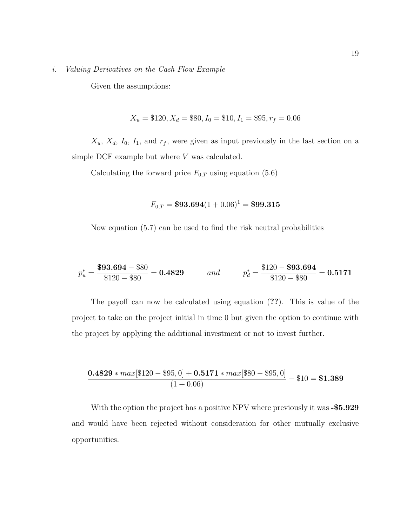# i. Valuing Derivatives on the Cash Flow Example

Given the assumptions:

$$
X_u = \$120, X_d = \$80, I_0 = \$10, I_1 = \$95, r_f = 0.06
$$

 $X_u$ ,  $X_d$ ,  $I_0$ ,  $I_1$ , and  $r_f$ , were given as input previously in the last section on a simple DCF example but where  $V$  was calculated.

Calculating the forward price  $F_{0,T}$  using equation (5.6)

$$
F_{0,T} = $93.694(1+0.06)^{1} = $99.315
$$

Now equation (5.7) can be used to find the risk neutral probabilities

$$
p_u^* = \frac{\$93.694 - \$80}{\$120 - \$80} = 0.4829 \qquad and \qquad p_d^* = \frac{\$120 - \$93.694}{\$120 - \$80} = 0.5171
$$

The payoff can now be calculated using equation (??). This is value of the project to take on the project initial in time 0 but given the option to continue with the project by applying the additional investment or not to invest further.

$$
\frac{\textbf{0.4829} * max[\$120 - \$95, 0] + \textbf{0.5171} * max[\$80 - \$95, 0]}{(1 + 0.06)} - \$10 = \$1.389
$$

With the option the project has a positive NPV where previously it was  $-$ \$5.929 and would have been rejected without consideration for other mutually exclusive opportunities.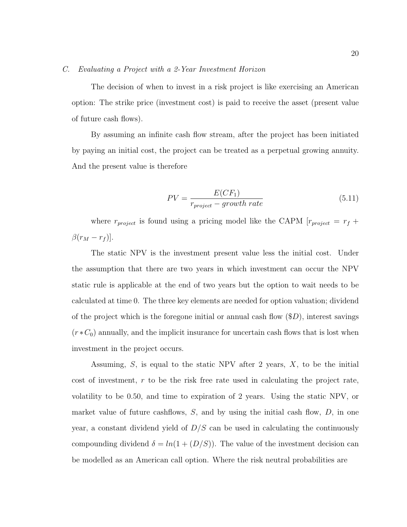#### C. Evaluating a Project with a 2-Year Investment Horizon

The decision of when to invest in a risk project is like exercising an American option: The strike price (investment cost) is paid to receive the asset (present value of future cash flows).

By assuming an infinite cash flow stream, after the project has been initiated by paying an initial cost, the project can be treated as a perpetual growing annuity. And the present value is therefore

$$
PV = \frac{E(CF_1)}{r_{project} - growth\ rate} \tag{5.11}
$$

where  $r_{project}$  is found using a pricing model like the CAPM  $[r_{project} = r_f +$  $\beta(r_M-r_f)].$ 

The static NPV is the investment present value less the initial cost. Under the assumption that there are two years in which investment can occur the NPV static rule is applicable at the end of two years but the option to wait needs to be calculated at time 0. The three key elements are needed for option valuation; dividend of the project which is the foregone initial or annual cash flow  $(\$D)$ , interest savings  $(r * C_0)$  annually, and the implicit insurance for uncertain cash flows that is lost when investment in the project occurs.

Assuming,  $S$ , is equal to the static NPV after 2 years,  $X$ , to be the initial cost of investment,  $r$  to be the risk free rate used in calculating the project rate, volatility to be 0.50, and time to expiration of 2 years. Using the static NPV, or market value of future cashflows,  $S$ , and by using the initial cash flow,  $D$ , in one year, a constant dividend yield of  $D/S$  can be used in calculating the continuously compounding dividend  $\delta = ln(1 + (D/S))$ . The value of the investment decision can be modelled as an American call option. Where the risk neutral probabilities are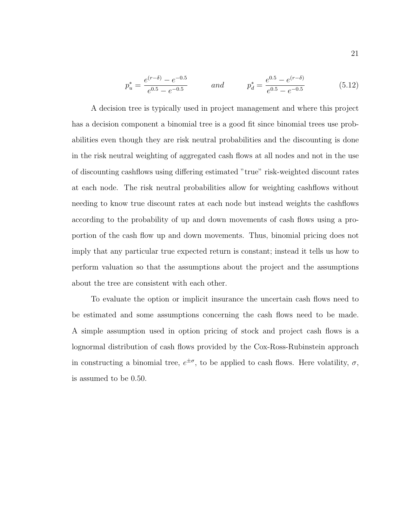$$
p_u^* = \frac{e^{(r-\delta)} - e^{-0.5}}{e^{0.5} - e^{-0.5}} \qquad \text{and} \qquad p_d^* = \frac{e^{0.5} - e^{(r-\delta)}}{e^{0.5} - e^{-0.5}} \tag{5.12}
$$

A decision tree is typically used in project management and where this project has a decision component a binomial tree is a good fit since binomial trees use probabilities even though they are risk neutral probabilities and the discounting is done in the risk neutral weighting of aggregated cash flows at all nodes and not in the use of discounting cashflows using differing estimated "true" risk-weighted discount rates at each node. The risk neutral probabilities allow for weighting cashflows without needing to know true discount rates at each node but instead weights the cashflows according to the probability of up and down movements of cash flows using a proportion of the cash flow up and down movements. Thus, binomial pricing does not imply that any particular true expected return is constant; instead it tells us how to perform valuation so that the assumptions about the project and the assumptions about the tree are consistent with each other.

To evaluate the option or implicit insurance the uncertain cash flows need to be estimated and some assumptions concerning the cash flows need to be made. A simple assumption used in option pricing of stock and project cash flows is a lognormal distribution of cash flows provided by the Cox-Ross-Rubinstein approach in constructing a binomial tree,  $e^{\pm \sigma}$ , to be applied to cash flows. Here volatility,  $\sigma$ , is assumed to be 0.50.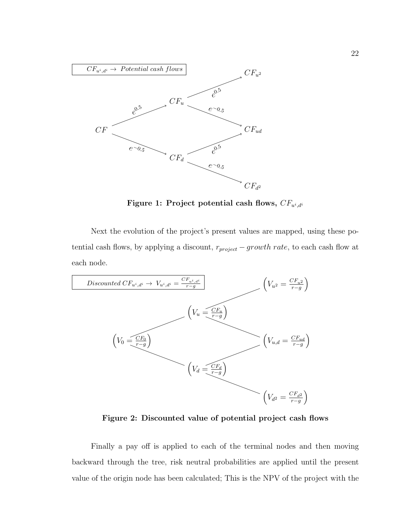

Figure 1: Project potential cash flows,  $CF_{u^i,d^i}$ 

Next the evolution of the project's present values are mapped, using these potential cash flows, by applying a discount,  $r_{project} - growth\ rate$ , to each cash flow at each node.



Figure 2: Discounted value of potential project cash flows

Finally a pay off is applied to each of the terminal nodes and then moving backward through the tree, risk neutral probabilities are applied until the present value of the origin node has been calculated; This is the NPV of the project with the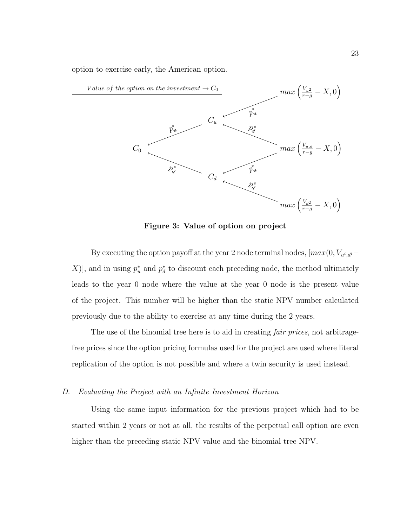option to exercise early, the American option.



Figure 3: Value of option on project

By executing the option payoff at the year 2 node terminal nodes,  $[max(0, V_{u^i, d^i} -$ X)], and in using  $p_u^*$  and  $p_d^*$  to discount each preceding node, the method ultimately leads to the year 0 node where the value at the year 0 node is the present value of the project. This number will be higher than the static NPV number calculated previously due to the ability to exercise at any time during the 2 years.

The use of the binomial tree here is to aid in creating *fair prices*, not arbitragefree prices since the option pricing formulas used for the project are used where literal replication of the option is not possible and where a twin security is used instead.

#### D. Evaluating the Project with an Infinite Investment Horizon

Using the same input information for the previous project which had to be started within 2 years or not at all, the results of the perpetual call option are even higher than the preceding static NPV value and the binomial tree NPV.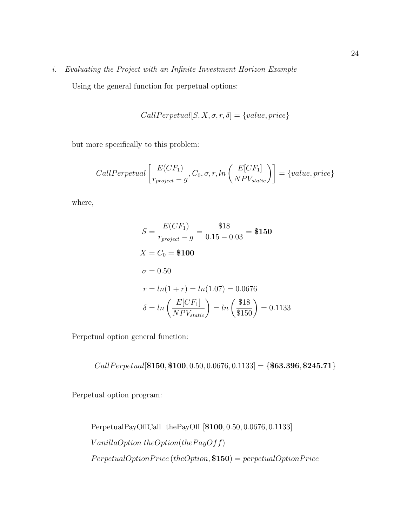# i. Evaluating the Project with an Infinite Investment Horizon Example

Using the general function for perpetual options:

$$
CallPerpetual[S, X, \sigma, r, \delta] = \{value, price\}
$$

but more specifically to this problem:

$$
CallPerpetual\left[\frac{E(CF_1)}{r_{project}-g}, C_0, \sigma, r, ln\left(\frac{E[CF_1]}{NPV_{static}}\right)\right] = \{value, price\}
$$

where,

$$
S = \frac{E(CF_1)}{r_{project} - g} = \frac{$18}{0.15 - 0.03} = $150
$$
  

$$
X = C_0 = $100
$$
  

$$
\sigma = 0.50
$$
  

$$
r = \ln(1 + r) = \ln(1.07) = 0.0676
$$
  

$$
\delta = \ln\left(\frac{E[CF_1]}{NPV_{static}}\right) = \ln\left(\frac{$18}{$150}\right) = 0.1133
$$

Perpetual option general function:

 $Call Perpetual$ [\$150, \$100, 0.50, 0.0676, 0.1133] = {\$63.396, \$245.71}

Perpetual option program:

PerpetualPayOffCall thePayOff [\$100, 0.50, 0.0676, 0.1133] V anillaOption theOption(theP ayOff) P erpetualOptionP rice (theOption, \$150) = perpetualOptionP rice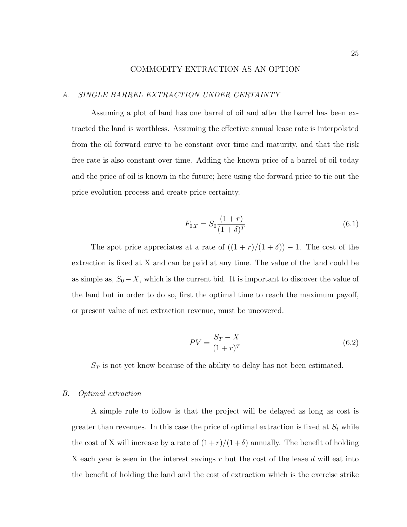# COMMODITY EXTRACTION AS AN OPTION

# A. SINGLE BARREL EXTRACTION UNDER CERTAINTY

Assuming a plot of land has one barrel of oil and after the barrel has been extracted the land is worthless. Assuming the effective annual lease rate is interpolated from the oil forward curve to be constant over time and maturity, and that the risk free rate is also constant over time. Adding the known price of a barrel of oil today and the price of oil is known in the future; here using the forward price to tie out the price evolution process and create price certainty.

$$
F_{0,T} = S_0 \frac{(1+r)}{(1+\delta)^T}
$$
\n(6.1)

The spot price appreciates at a rate of  $((1 + r)/(1 + \delta)) - 1$ . The cost of the extraction is fixed at X and can be paid at any time. The value of the land could be as simple as,  $S_0 - X$ , which is the current bid. It is important to discover the value of the land but in order to do so, first the optimal time to reach the maximum payoff, or present value of net extraction revenue, must be uncovered.

$$
PV = \frac{S_T - X}{(1+r)^T}
$$
\n
$$
(6.2)
$$

 $S_T$  is not yet know because of the ability to delay has not been estimated.

#### B. Optimal extraction

A simple rule to follow is that the project will be delayed as long as cost is greater than revenues. In this case the price of optimal extraction is fixed at  $S_t$  while the cost of X will increase by a rate of  $(1+r)/(1+\delta)$  annually. The benefit of holding X each year is seen in the interest savings  $r$  but the cost of the lease  $d$  will eat into the benefit of holding the land and the cost of extraction which is the exercise strike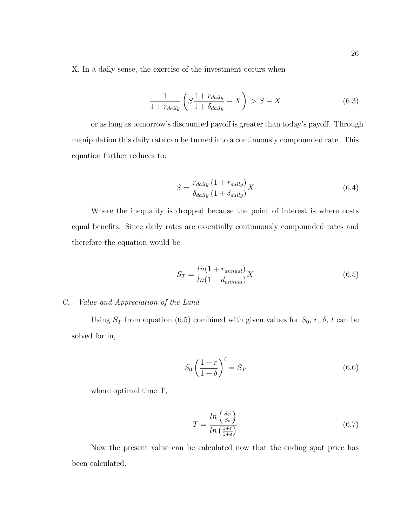X. In a daily sense, the exercise of the investment occurs when

$$
\frac{1}{1 + r_{daily}} \left( S \frac{1 + r_{daily}}{1 + \delta_{daily}} - X \right) > S - X \tag{6.3}
$$

or as long as tomorrow's discounted payoff is greater than today's payoff. Through manipulation this daily rate can be turned into a continuously compounded rate. This equation further reduces to:

$$
S = \frac{r_{daily}}{\delta_{daily}} \frac{(1 + r_{daily})}{(1 + \delta_{daily})} X
$$
\n(6.4)

Where the inequality is dropped because the point of interest is where costs equal benefits. Since daily rates are essentially continuously compounded rates and therefore the equation would be

$$
S_T = \frac{\ln(1 + r_{annual})}{\ln(1 + d_{annual})} X
$$
\n(6.5)

#### C. Value and Appreciation of the Land

Using  $S_T$  from equation (6.5) combined with given values for  $S_0$ , r,  $\delta$ , t can be solved for in,

$$
S_0 \left(\frac{1+r}{1+\delta}\right)^t = S_T \tag{6.6}
$$

where optimal time T,

$$
T = \frac{\ln\left(\frac{S_T}{S_0}\right)}{\ln\left(\frac{1+r}{1+\delta}\right)}\tag{6.7}
$$

Now the present value can be calculated now that the ending spot price has been calculated.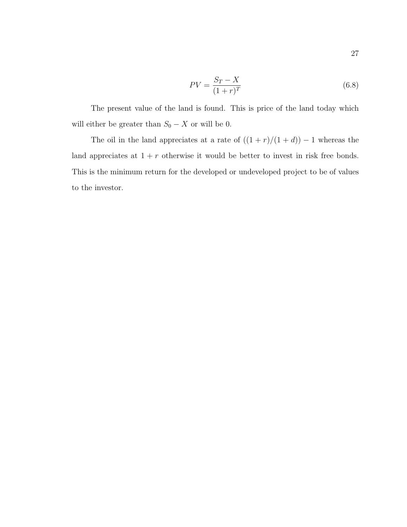$$
PV = \frac{S_T - X}{(1+r)^T}
$$
\n
$$
(6.8)
$$

The present value of the land is found. This is price of the land today which will either be greater than  $S_0 - X$  or will be 0.

The oil in the land appreciates at a rate of  $((1 + r)/(1 + d)) - 1$  whereas the land appreciates at  $1 + r$  otherwise it would be better to invest in risk free bonds. This is the minimum return for the developed or undeveloped project to be of values to the investor.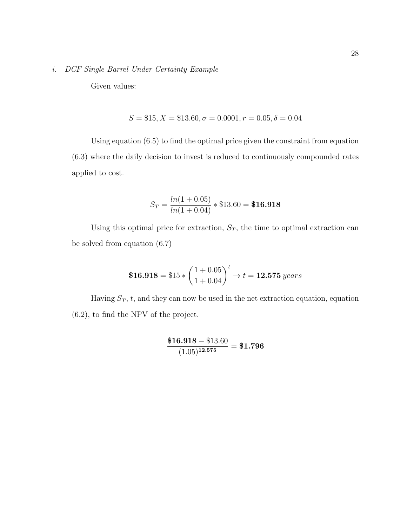# i. DCF Single Barrel Under Certainty Example

Given values:

$$
S = $15, X = $13.60, \sigma = 0.0001, r = 0.05, \delta = 0.04
$$

Using equation (6.5) to find the optimal price given the constraint from equation (6.3) where the daily decision to invest is reduced to continuously compounded rates applied to cost.

$$
S_T = \frac{ln(1 + 0.05)}{ln(1 + 0.04)} * $13.60 = $16.918
$$

Using this optimal price for extraction,  $S_T$ , the time to optimal extraction can be solved from equation (6.7)

\$16.918 = \$15 \* 
$$
\left(\frac{1+0.05}{1+0.04}\right)^t
$$
  $\rightarrow$  t = 12.575 years

Having  $S_T$ ,  $t$ , and they can now be used in the net extraction equation, equation (6.2), to find the NPV of the project.

$$
\frac{\$16.918 - \$13.60}{(1.05)^{12.575}} = \$1.796
$$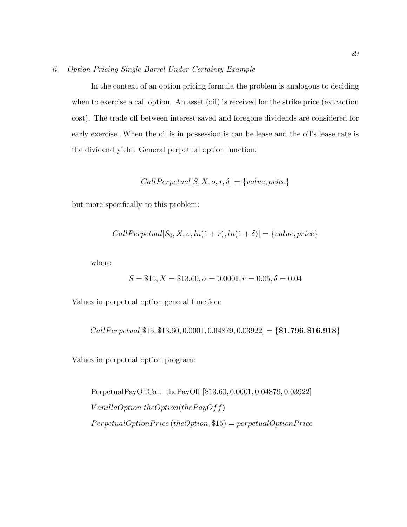# ii. Option Pricing Single Barrel Under Certainty Example

In the context of an option pricing formula the problem is analogous to deciding when to exercise a call option. An asset (oil) is received for the strike price (extraction cost). The trade off between interest saved and foregone dividends are considered for early exercise. When the oil is in possession is can be lease and the oil's lease rate is the dividend yield. General perpetual option function:

$$
CallPerpetual[S, X, \sigma, r, \delta] = \{value, price\}
$$

but more specifically to this problem:

$$
CallPerpetual[S_0, X, \sigma, ln(1+r), ln(1+\delta)] = \{value, price\}
$$

where,

$$
S = $15, X = $13.60, \sigma = 0.0001, r = 0.05, \delta = 0.04
$$

Values in perpetual option general function:

 $Call Perpetual$  [\$15, \$13.60, 0.0001, 0.04879, 0.03922] = {\$1.796, \$16.918}

Values in perpetual option program:

PerpetualPayOffCall thePayOff [\$13.60, 0.0001, 0.04879, 0.03922] VanillaOption theOption(thePayOff)  $PerpetualOption Price (theOption, $15) = perpetualOption Price$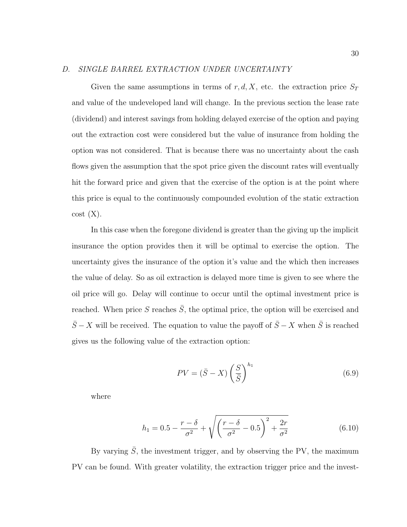# D. SINGLE BARREL EXTRACTION UNDER UNCERTAINTY

Given the same assumptions in terms of  $r, d, X$ , etc. the extraction price  $S_T$ and value of the undeveloped land will change. In the previous section the lease rate (dividend) and interest savings from holding delayed exercise of the option and paying out the extraction cost were considered but the value of insurance from holding the option was not considered. That is because there was no uncertainty about the cash flows given the assumption that the spot price given the discount rates will eventually hit the forward price and given that the exercise of the option is at the point where this price is equal to the continuously compounded evolution of the static extraction  $\cot(X)$ .

In this case when the foregone dividend is greater than the giving up the implicit insurance the option provides then it will be optimal to exercise the option. The uncertainty gives the insurance of the option it's value and the which then increases the value of delay. So as oil extraction is delayed more time is given to see where the oil price will go. Delay will continue to occur until the optimal investment price is reached. When price S reaches  $\overline{S}$ , the optimal price, the option will be exercised and  $\overline{S} - X$  will be received. The equation to value the payoff of  $\overline{S} - X$  when  $\overline{S}$  is reached gives us the following value of the extraction option:

$$
PV = (\bar{S} - X) \left(\frac{S}{\bar{S}}\right)^{h_1}
$$
\n(6.9)

where

$$
h_1 = 0.5 - \frac{r - \delta}{\sigma^2} + \sqrt{\left(\frac{r - \delta}{\sigma^2} - 0.5\right)^2 + \frac{2r}{\sigma^2}}
$$
(6.10)

By varying  $\overline{S}$ , the investment trigger, and by observing the PV, the maximum PV can be found. With greater volatility, the extraction trigger price and the invest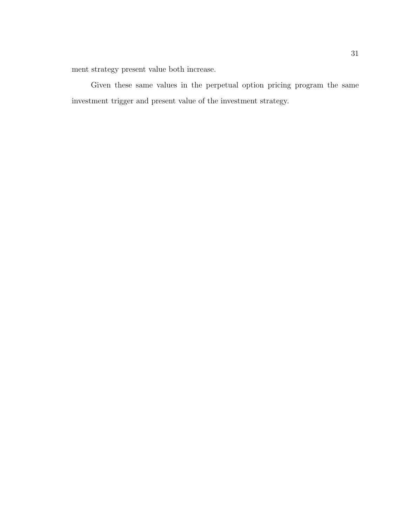ment strategy present value both increase.

Given these same values in the perpetual option pricing program the same investment trigger and present value of the investment strategy.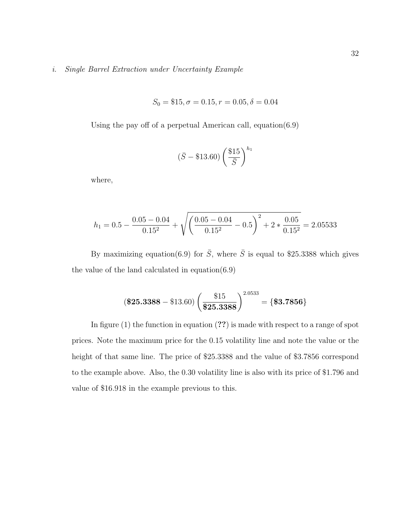## i. Single Barrel Extraction under Uncertainty Example

$$
S_0 = \$15, \sigma = 0.15, r = 0.05, \delta = 0.04
$$

Using the pay off of a perpetual American call, equation(6.9)

$$
(\bar{S}-\$13.60) \left(\frac{\$15}{\bar{S}}\right)^{h_1}
$$

where,

$$
h_1 = 0.5 - \frac{0.05 - 0.04}{0.15^2} + \sqrt{\left(\frac{0.05 - 0.04}{0.15^2} - 0.5\right)^2 + 2 * \frac{0.05}{0.15^2}} = 2.05533
$$

By maximizing equation(6.9) for  $\overline{S}$ , where  $\overline{S}$  is equal to \$25.3388 which gives the value of the land calculated in equation $(6.9)$ 

$$
(\$25.3388 - \$13.60) \left(\frac{\$15}{\$25.3388}\right)^{2.0533} = \{\$3.7856\}
$$

In figure (1) the function in equation (??) is made with respect to a range of spot prices. Note the maximum price for the 0.15 volatility line and note the value or the height of that same line. The price of \$25.3388 and the value of \$3.7856 correspond to the example above. Also, the 0.30 volatility line is also with its price of \$1.796 and value of \$16.918 in the example previous to this.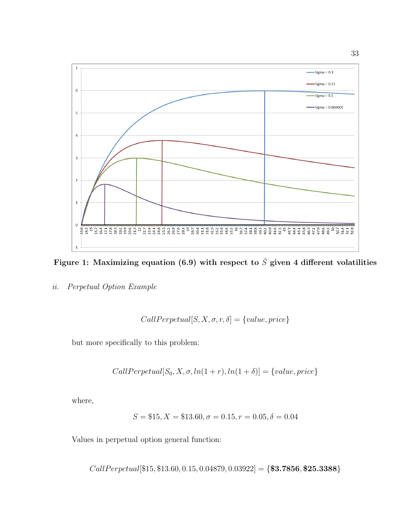



ii. Perpetual Option Example

 $Call Perpetual[S, X, \sigma, r, \delta] = \{value, price\}$ 

but more specifically to this problem:

$$
CallPerpetual[S_0, X, \sigma, ln(1+r), ln(1+\delta)] = \{value, price\}
$$

where,

$$
S = $15, X = $13.60, \sigma = 0.15, r = 0.05, \delta = 0.04
$$

Values in perpetual option general function:

 $Call Perpetual$  [\$15, \$13.60, 0.15, 0.04879, 0.03922] = {\$3.7856, \$25.3388}

33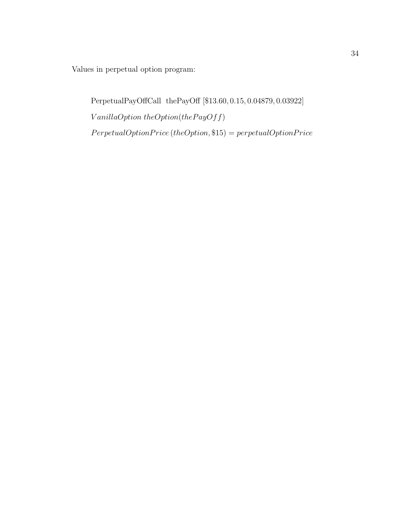Values in perpetual option program:

PerpetualPayOffCall thePayOff [\$13.60, 0.15, 0.04879, 0.03922] VanillaOption theOption(the $PayOff)$  $PerpetualOption Price (theOption, $15) = perpetualOption Price$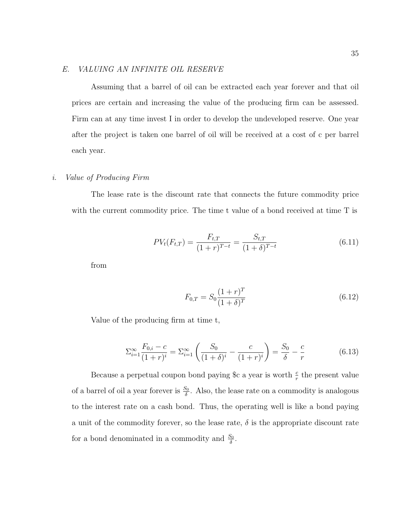## E. VALUING AN INFINITE OIL RESERVE

Assuming that a barrel of oil can be extracted each year forever and that oil prices are certain and increasing the value of the producing firm can be assessed. Firm can at any time invest I in order to develop the undeveloped reserve. One year after the project is taken one barrel of oil will be received at a cost of c per barrel each year.

### i. Value of Producing Firm

The lease rate is the discount rate that connects the future commodity price with the current commodity price. The time t value of a bond received at time T is

$$
PV_t(F_{t,T}) = \frac{F_{t,T}}{(1+r)^{T-t}} = \frac{S_{t,T}}{(1+\delta)^{T-t}}
$$
(6.11)

from

$$
F_{0,T} = S_0 \frac{(1+r)^T}{(1+\delta)^T}
$$
\n(6.12)

Value of the producing firm at time t,

$$
\sum_{i=1}^{\infty} \frac{F_{0,i} - c}{(1+r)^i} = \sum_{i=1}^{\infty} \left( \frac{S_0}{(1+\delta)^i} - \frac{c}{(1+r)^i} \right) = \frac{S_0}{\delta} - \frac{c}{r}
$$
(6.13)

Because a perpetual coupon bond paying \$c a year is worth  $\frac{c}{r}$  the present value of a barrel of oil a year forever is  $\frac{S_0}{\delta}$ . Also, the lease rate on a commodity is analogous to the interest rate on a cash bond. Thus, the operating well is like a bond paying a unit of the commodity forever, so the lease rate,  $\delta$  is the appropriate discount rate for a bond denominated in a commodity and  $\frac{S_0}{\delta}$ .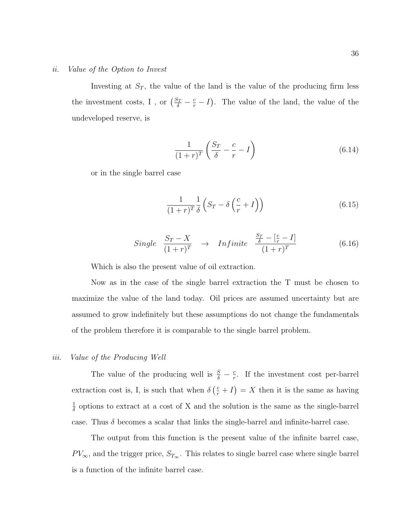### ii. Value of the Option to Invest

Investing at  $S_T$ , the value of the land is the value of the producing firm less the investment costs, I, or  $(\frac{S_T}{\delta} - \frac{c}{r} - I)$ . The value of the land, the value of the undeveloped reserve, is

$$
\frac{1}{(1+r)^{T}} \left( \frac{S_{T}}{\delta} - \frac{c}{r} - I \right)
$$
\n(6.14)

or in the single barrel case

$$
\frac{1}{(1+r)^{T}} \frac{1}{\delta} \left( S_{T} - \delta \left( \frac{c}{r} + I \right) \right)
$$
(6.15)

$$
Single \quad \frac{S_T - X}{(1+r)^T} \quad \rightarrow \quad Infinite \quad \frac{\frac{S_T}{\delta} - [\frac{c}{r} - I]}{(1+r)^T} \tag{6.16}
$$

Which is also the present value of oil extraction.

Now as in the case of the single barrel extraction the T must be chosen to maximize the value of the land today. Oil prices are assumed uncertainty but are assumed to grow indefinitely but these assumptions do not change the fundamentals of the problem therefore it is comparable to the single barrel problem.

### iii. Value of the Producing Well

The value of the producing well is  $\frac{S}{\delta} - \frac{c}{r}$  $\frac{c}{r}$ . If the investment cost per-barrel extraction cost is, I, is such that when  $\delta\left(\frac{c}{r}+I\right)=X$  then it is the same as having 1  $\frac{1}{\delta}$  options to extract at a cost of X and the solution is the same as the single-barrel case. Thus  $\delta$  becomes a scalar that links the single-barrel and infinite-barrel case.

The output from this function is the present value of the infinite barrel case,  $PV_{\infty}$ , and the trigger price,  $S_{T_{\infty}}$ . This relates to single barrel case where single barrel is a function of the infinite barrel case.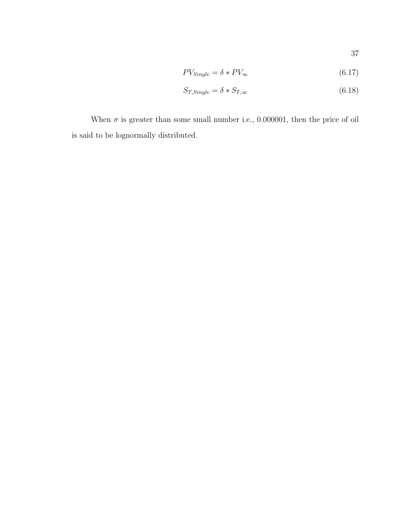$$
PV_{Single} = \delta * PV_{\infty} \tag{6.17}
$$

$$
S_{T,Single} = \delta * S_{T,\infty} \tag{6.18}
$$

When  $\sigma$  is greater than some small number i.e., 0.000001, then the price of oil is said to be lognormally distributed.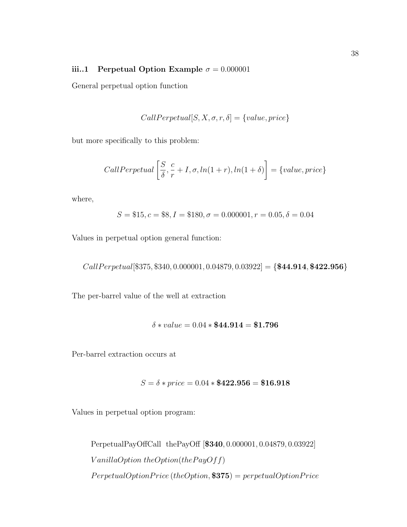## iii..1 Perpetual Option Example  $\sigma = 0.000001$

General perpetual option function

$$
CallPerpetual[S, X, \sigma, r, \delta] = \{value, price\}
$$

but more specifically to this problem:

$$
CallPerpetual\left[\frac{S}{\delta}, \frac{c}{r} + I, \sigma, \ln(1+r), \ln(1+\delta)\right] = \{value, price\}
$$

where,

$$
S = $15, c = $8, I = $180, \sigma = 0.000001, r = 0.05, \delta = 0.04
$$

Values in perpetual option general function:

 $Call Perpetual$  [\$375, \$340, 0.000001, 0.04879, 0.03922] = {\$44.914, \$422.956}

The per-barrel value of the well at extraction

$$
\delta * value = 0.04 * $44.914 = $1.796
$$

Per-barrel extraction occurs at

$$
S = \delta * price = 0.04 * $422.956 = $16.918
$$

Values in perpetual option program:

PerpetualPayOffCall thePayOff [\$340, 0.000001, 0.04879, 0.03922] VanillaOption theOption(the $PayOff)$  $PerpetualOption Price (theOption, $375) = perpetualOption Price$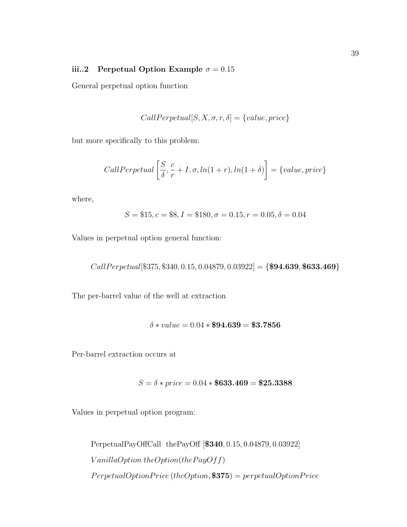### iii..2 Perpetual Option Example  $\sigma = 0.15$

General perpetual option function

$$
CallPerpetual[S, X, \sigma, r, \delta] = \{value, price\}
$$

but more specifically to this problem:

$$
CallPerpetual\left[\frac{S}{\delta}, \frac{c}{r} + I, \sigma, \ln(1+r), \ln(1+\delta)\right] = \{value, price\}
$$

where,

$$
S = $15, c = $8, I = $180, \sigma = 0.15, r = 0.05, \delta = 0.04
$$

Values in perpetual option general function:

$$
CallPerpetual
$$
[\$375, \$340, 0.15, 0.04879, 0.03922] =  ${$ \$94.639, \$633.469\}

The per-barrel value of the well at extraction

$$
\delta * value = 0.04 * $94.639 = $3.7856
$$

Per-barrel extraction occurs at

$$
S = \delta * price = 0.04 * $633.469 = $25.3388
$$

Values in perpetual option program:

PerpetualPayOffCall thePayOff [\$340, 0.15, 0.04879, 0.03922] VanillaOption theOption(the $PayOff)$  $PerpetualOption Price (theOption, $375) = perpetualOption Price$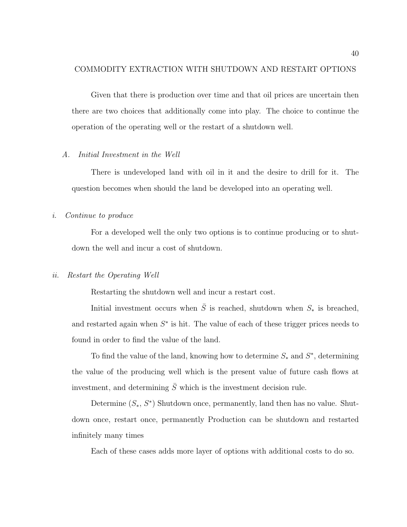## COMMODITY EXTRACTION WITH SHUTDOWN AND RESTART OPTIONS

Given that there is production over time and that oil prices are uncertain then there are two choices that additionally come into play. The choice to continue the operation of the operating well or the restart of a shutdown well.

#### A. Initial Investment in the Well

There is undeveloped land with oil in it and the desire to drill for it. The question becomes when should the land be developed into an operating well.

### i. Continue to produce

For a developed well the only two options is to continue producing or to shutdown the well and incur a cost of shutdown.

### ii. Restart the Operating Well

Restarting the shutdown well and incur a restart cost.

Initial investment occurs when  $\overline{S}$  is reached, shutdown when  $S_*$  is breached, and restarted again when  $S^*$  is hit. The value of each of these trigger prices needs to found in order to find the value of the land.

To find the value of the land, knowing how to determine  $S_*$  and  $S^*$ , determining the value of the producing well which is the present value of future cash flows at investment, and determining  $\bar{S}$  which is the investment decision rule.

Determine  $(S_*, S^*)$  Shutdown once, permanently, land then has no value. Shutdown once, restart once, permanently Production can be shutdown and restarted infinitely many times

Each of these cases adds more layer of options with additional costs to do so.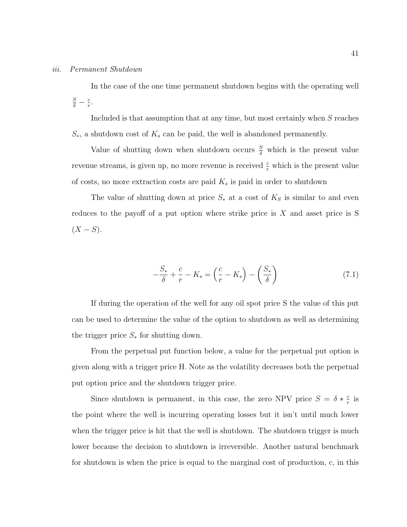### iii. Permanent Shutdown

In the case of the one time permanent shutdown begins with the operating well  $\frac{S}{\delta}-\frac{c}{r}$  $\frac{c}{r}$ .

Included is that assumption that at any time, but most certainly when S reaches  $S_{*}$ , a shutdown cost of  $K_{s}$  can be paid, the well is abandoned permanently.

Value of shutting down when shutdown occurs  $\frac{S}{\delta}$  which is the present value revenue streams, is given up, no more revenue is received  $\frac{e}{r}$  which is the present value of costs, no more extraction costs are paid  $K_s$  is paid in order to shutdown

The value of shutting down at price  $S_*$  at a cost of  $K_S$  is similar to and even reduces to the payoff of a put option where strike price is X and asset price is S  $(X - S)$ .

$$
-\frac{S_*}{\delta} + \frac{c}{r} - K_s = \left(\frac{c}{r} - K_s\right) - \left(\frac{S_*}{\delta}\right)
$$
\n(7.1)

If during the operation of the well for any oil spot price S the value of this put can be used to determine the value of the option to shutdown as well as determining the trigger price  $S_*$  for shutting down.

From the perpetual put function below, a value for the perpetual put option is given along with a trigger price H. Note as the volatility decreases both the perpetual put option price and the shutdown trigger price.

Since shutdown is permanent, in this case, the zero NPV price  $S = \delta * \frac{c}{r}$  $\frac{c}{r}$  is the point where the well is incurring operating losses but it isn't until much lower when the trigger price is hit that the well is shutdown. The shutdown trigger is much lower because the decision to shutdown is irreversible. Another natural benchmark for shutdown is when the price is equal to the marginal cost of production, c, in this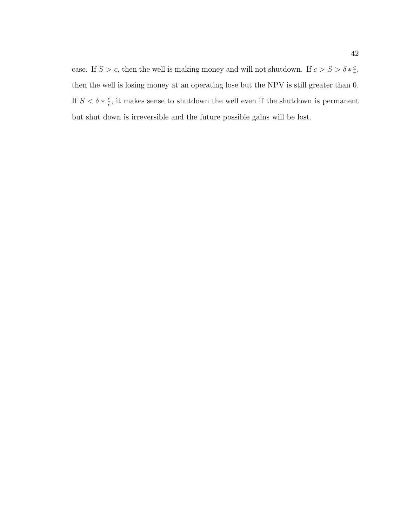case. If  $S > c$ , then the well is making money and will not shutdown. If  $c > S > \delta * \frac{c}{r}$  $\frac{c}{r}$ , then the well is losing money at an operating lose but the NPV is still greater than 0. If  $S < \delta * \frac{c}{r}$  $\frac{c}{r}$ , it makes sense to shutdown the well even if the shutdown is permanent but shut down is irreversible and the future possible gains will be lost.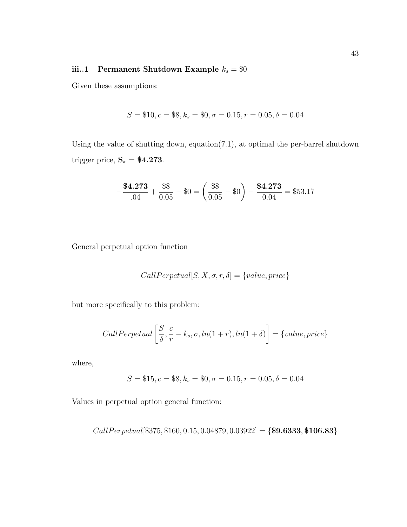## iii..1 Permanent Shutdown Example  $k_s = $0$

Given these assumptions:

$$
S = \$10, c = \$8, k_s = \$0, \sigma = 0.15, r = 0.05, \delta = 0.04
$$

Using the value of shutting down, equation(7.1), at optimal the per-barrel shutdown trigger price,  $S_* = $4.273$ .

$$
-\frac{\$4.273}{.04} + \frac{\$8}{0.05} - \$0 = \left(\frac{\$8}{0.05} - \$0\right) - \frac{\$4.273}{0.04} = \$53.17
$$

General perpetual option function

$$
CallPerpetual[S, X, \sigma, r, \delta] = \{value, price\}
$$

but more specifically to this problem:

$$
CallPerpetual\left[\frac{S}{\delta}, \frac{c}{r} - k_s, \sigma, ln(1+r), ln(1+\delta)\right] = \{value, price\}
$$

where,

$$
S = \$15, c = \$8, k_s = \$0, \sigma = 0.15, r = 0.05, \delta = 0.04
$$

Values in perpetual option general function:

$$
CallPerpetual [\$375, \$160, 0.15, 0.04879, 0.03922] = \{\$9.6333, \$106.83\}
$$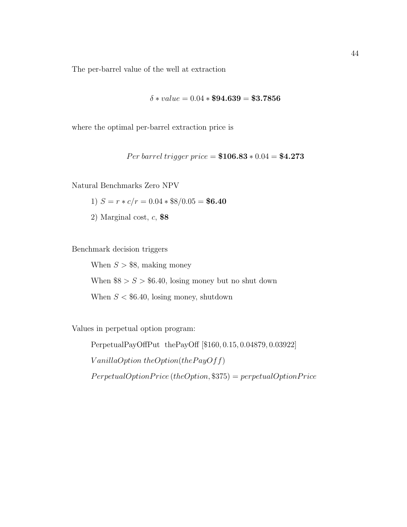The per-barrel value of the well at extraction

$$
\delta * value = 0.04 * $94.639 = $3.7856
$$

where the optimal per-barrel extraction price is

Per barrel trigger price =  $$106.83 * 0.04 = $4.273$ 

Natural Benchmarks Zero NPV

1) 
$$
S = r * c/r = 0.04 * $8/0.05 = $6.40
$$

2) Marginal cost,  $c$ ,  $\$ 8

Benchmark decision triggers

When  $S > $8$ , making money When  $8 > S > $6.40$ , losing money but no shut down When  $S < $6.40$ , losing money, shutdown

Values in perpetual option program:

PerpetualPayOffPut thePayOff [\$160, 0.15, 0.04879, 0.03922] VanillaOption theOption(thePayOff)  $PerpetualOption Price (theOption, $375) = perpetualOption Price$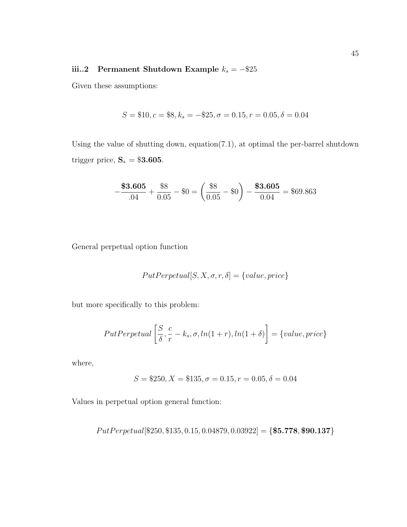# iii..2 Permanent Shutdown Example  $k_s = −\$25$

Given these assumptions:

$$
S = \$10, c = \$8, k_s = -\$25, \sigma = 0.15, r = 0.05, \delta = 0.04
$$

Using the value of shutting down, equation(7.1), at optimal the per-barrel shutdown trigger price,  $S_* = $3.605$ .

$$
-\frac{\$3.605}{.04} + \frac{\$8}{0.05} - \$0 = \left(\frac{\$8}{0.05} - \$0\right) - \frac{\$3.605}{0.04} = \$69.863
$$

General perpetual option function

$$
PutPerpetual[S, X, \sigma, r, \delta] = \{value, price\}
$$

but more specifically to this problem:

$$
Put Perpetual \left[ \frac{S}{\delta}, \frac{c}{r} - k_s, \sigma, \ln(1+r), \ln(1+\delta) \right] = \{ value, price\}
$$

where,

$$
S = $250, X = $135, \sigma = 0.15, r = 0.05, \delta = 0.04
$$

Values in perpetual option general function:

$$
Put Perpetual [\$250, \$135, 0.15, 0.04879, 0.03922] = \{\$5.778, \$90.137\}
$$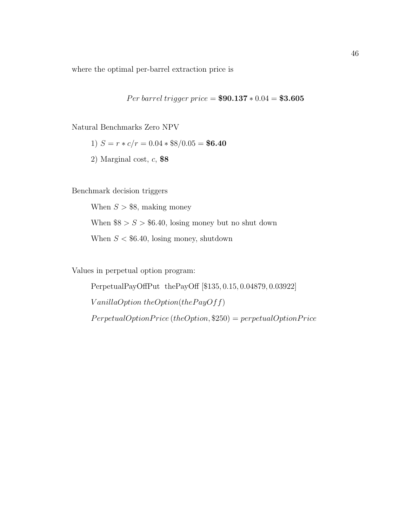where the optimal per-barrel extraction price is

Per barrel trigger price =  $$90.137 * 0.04 = $3.605$ 

Natural Benchmarks Zero NPV

1) 
$$
S = r * c/r = 0.04 * $8/0.05 = $6.40
$$

2) Marginal cost,  $c$ ,  $\$ 8

Benchmark decision triggers

When  $S > $8$ , making money When  $8 > S > 6.40$ , losing money but no shut down When  $S < $6.40$ , losing money, shutdown

Values in perpetual option program:

PerpetualPayOffPut thePayOff [\$135, 0.15, 0.04879, 0.03922]  $VanillaOption theOption(the PayOff)$  $PerpetualOption Price (theOption, $250) = perpetualOption Price$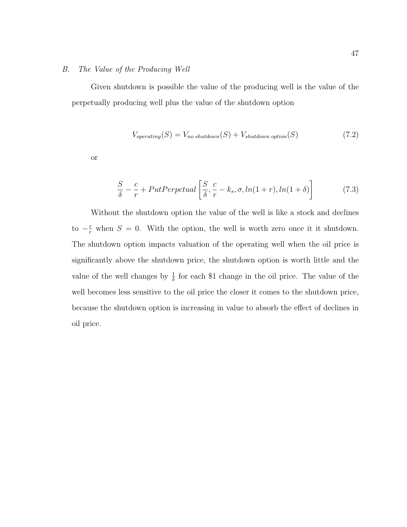## B. The Value of the Producing Well

Given shutdown is possible the value of the producing well is the value of the perpetually producing well plus the value of the shutdown option

$$
V_{operating}(S) = V_{no\ shutdown}(S) + V_{shutdown\ option}(S)
$$
\n(7.2)

or

$$
\frac{S}{\delta} - \frac{c}{r} + PutPerpetual\left[\frac{S}{\delta}, \frac{c}{r} - k_s, \sigma, \ln(1+r), \ln(1+\delta)\right]
$$
(7.3)

Without the shutdown option the value of the well is like a stock and declines to  $-\frac{c}{r}$  when  $S = 0$ . With the option, the well is worth zero once it it shutdown. The shutdown option impacts valuation of the operating well when the oil price is significantly above the shutdown price, the shutdown option is worth little and the value of the well changes by  $\frac{1}{\delta}$  for each \$1 change in the oil price. The value of the well becomes less sensitive to the oil price the closer it comes to the shutdown price, because the shutdown option is increasing in value to absorb the effect of declines in oil price.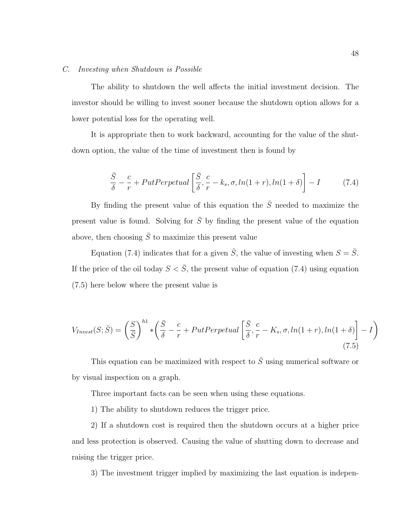## C. Investing when Shutdown is Possible

The ability to shutdown the well affects the initial investment decision. The investor should be willing to invest sooner because the shutdown option allows for a lower potential loss for the operating well.

It is appropriate then to work backward, accounting for the value of the shutdown option, the value of the time of investment then is found by

$$
\frac{\bar{S}}{\delta} - \frac{c}{r} + PutPerpetual\left[\frac{\bar{S}}{\delta}, \frac{c}{r} - k_s, \sigma, ln(1+r), ln(1+\delta)\right] - I \tag{7.4}
$$

By finding the present value of this equation the  $\overline{S}$  needed to maximize the present value is found. Solving for  $\overline{S}$  by finding the present value of the equation above, then choosing  $\overline{S}$  to maximize this present value

Equation (7.4) indicates that for a given  $\overline{S}$ , the value of investing when  $S = \overline{S}$ . If the price of the oil today  $S < \overline{S}$ , the present value of equation (7.4) using equation (7.5) here below where the present value is

$$
V_{Invest}(S; \bar{S}) = \left(\frac{S}{\bar{S}}\right)^{h1} * \left(\frac{\bar{S}}{\delta} - \frac{c}{r} + PutPerpetual\left[\frac{\bar{S}}{\delta}, \frac{c}{r} - K_s, \sigma, ln(1+r), ln(1+\delta)\right] - I\right)
$$
\n(7.5)

This equation can be maximized with respect to  $\overline{S}$  using numerical software or by visual inspection on a graph.

Three important facts can be seen when using these equations.

1) The ability to shutdown reduces the trigger price.

2) If a shutdown cost is required then the shutdown occurs at a higher price and less protection is observed. Causing the value of shutting down to decrease and raising the trigger price.

3) The investment trigger implied by maximizing the last equation is indepen-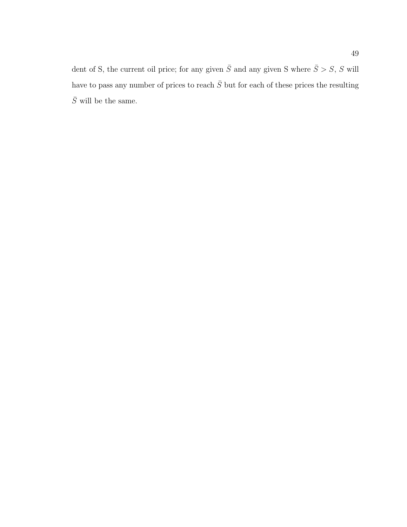dent of S, the current oil price; for any given  $\bar{S}$  and any given S where  $\bar{S} > S$ , S will have to pass any number of prices to reach  $\bar{S}$  but for each of these prices the resulting  $\bar{S}$  will be the same.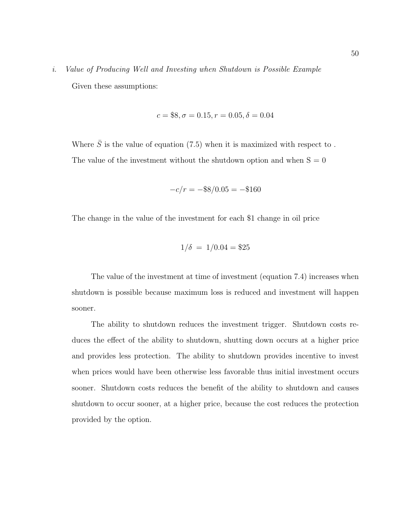i. Value of Producing Well and Investing when Shutdown is Possible Example Given these assumptions:

$$
c = \$8, \sigma = 0.15, r = 0.05, \delta = 0.04
$$

Where  $\overline{S}$  is the value of equation (7.5) when it is maximized with respect to. The value of the investment without the shutdown option and when  $S = 0$ 

$$
-c/r = -\$8/0.05 = -\$160
$$

The change in the value of the investment for each \$1 change in oil price

$$
1/\delta = 1/0.04 = $25
$$

The value of the investment at time of investment (equation 7.4) increases when shutdown is possible because maximum loss is reduced and investment will happen sooner.

The ability to shutdown reduces the investment trigger. Shutdown costs reduces the effect of the ability to shutdown, shutting down occurs at a higher price and provides less protection. The ability to shutdown provides incentive to invest when prices would have been otherwise less favorable thus initial investment occurs sooner. Shutdown costs reduces the benefit of the ability to shutdown and causes shutdown to occur sooner, at a higher price, because the cost reduces the protection provided by the option.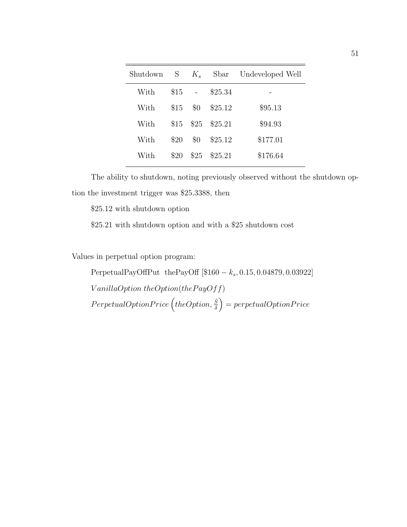| Shutdown | S.   | $K_s$ | Sbar    | Undeveloped Well |
|----------|------|-------|---------|------------------|
| With     | \$15 |       | \$25.34 |                  |
| With     | \$15 | \$0   | \$25.12 | \$95.13          |
| With     | \$15 | \$25  | \$25.21 | \$94.93          |
| With     | \$20 | \$0   | \$25.12 | \$177.01         |
| With     | \$20 | \$25  | \$25.21 | \$176.64         |

The ability to shutdown, noting previously observed without the shutdown option the investment trigger was \$25.3388, then

\$25.12 with shutdown option

\$25.21 with shutdown option and with a \$25 shutdown cost

Values in perpetual option program:

PerpetualPayOffPut thePayOff [\$160 −  $k_s$ , 0.15, 0.04879, 0.03922]  $VanillaOption$  theOption(the $PayOff)$  $PerpetualOptionPrice \left ( the Option, \frac{\bar{S}}{\delta} \right ) = perpetualOptionPrice$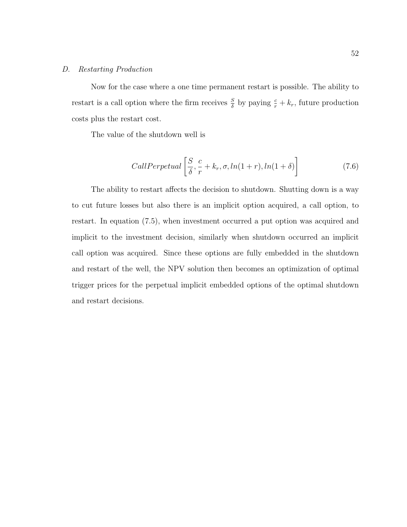## D. Restarting Production

Now for the case where a one time permanent restart is possible. The ability to restart is a call option where the firm receives  $\frac{S}{\delta}$  by paying  $\frac{c}{r} + k_r$ , future production costs plus the restart cost.

The value of the shutdown well is

$$
CallPerpetual\left[\frac{S}{\delta}, \frac{c}{r} + k_r, \sigma, \ln(1+r), \ln(1+\delta)\right]
$$
\n(7.6)

The ability to restart affects the decision to shutdown. Shutting down is a way to cut future losses but also there is an implicit option acquired, a call option, to restart. In equation (7.5), when investment occurred a put option was acquired and implicit to the investment decision, similarly when shutdown occurred an implicit call option was acquired. Since these options are fully embedded in the shutdown and restart of the well, the NPV solution then becomes an optimization of optimal trigger prices for the perpetual implicit embedded options of the optimal shutdown and restart decisions.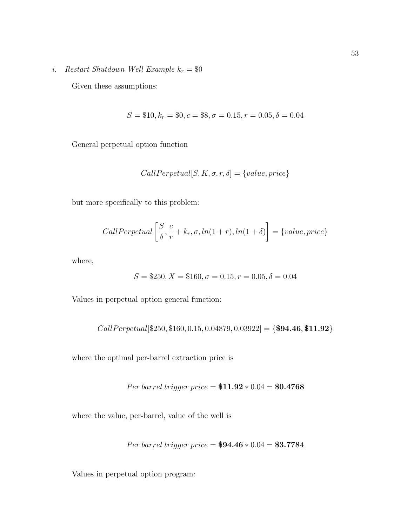i. Restart Shutdown Well Example  $k_r = $0$ 

Given these assumptions:

$$
S = \$10, k_r = \$0, c = \$8, \sigma = 0.15, r = 0.05, \delta = 0.04
$$

General perpetual option function

$$
CallPerpetual[S, K, \sigma, r, \delta] = \{value, price\}
$$

but more specifically to this problem:

$$
CallPerpetual\left[\frac{S}{\delta}, \frac{c}{r} + k_r, \sigma, ln(1+r), ln(1+\delta)\right] = \{value, price\}
$$

where,

$$
S = $250, X = $160, \sigma = 0.15, r = 0.05, \delta = 0.04
$$

Values in perpetual option general function:

$$
Call Perpetual[\$250, \$160, 0.15, 0.04879, 0.03922] = \{\$94.46, \$11.92\}
$$

where the optimal per-barrel extraction price is

*Per barrel trigger price* = 
$$
$11.92 * 0.04 = $0.4768
$$

where the value, per-barrel, value of the well is

$$
Per\,barrel\,trigger\,price = \$94.46 * 0.04 = \$3.7784
$$

Values in perpetual option program: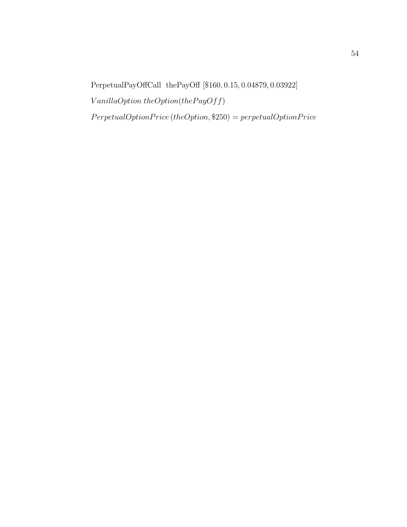PerpetualPayOffCall thePayOff [\$160, 0.15, 0.04879, 0.03922]  $VanillaOption\, theOption(the PayOff)$  $PerpetualOption Price (theOption, $250) = perpetualOption Price$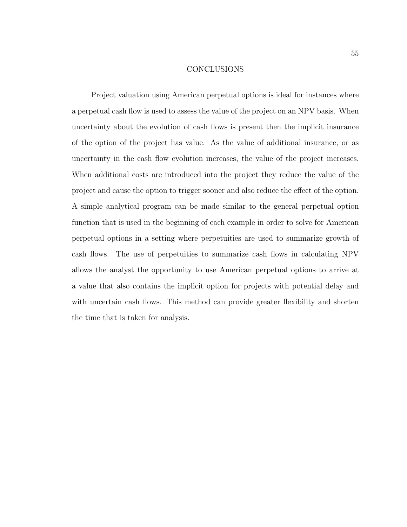### **CONCLUSIONS**

Project valuation using American perpetual options is ideal for instances where a perpetual cash flow is used to assess the value of the project on an NPV basis. When uncertainty about the evolution of cash flows is present then the implicit insurance of the option of the project has value. As the value of additional insurance, or as uncertainty in the cash flow evolution increases, the value of the project increases. When additional costs are introduced into the project they reduce the value of the project and cause the option to trigger sooner and also reduce the effect of the option. A simple analytical program can be made similar to the general perpetual option function that is used in the beginning of each example in order to solve for American perpetual options in a setting where perpetuities are used to summarize growth of cash flows. The use of perpetuities to summarize cash flows in calculating NPV allows the analyst the opportunity to use American perpetual options to arrive at a value that also contains the implicit option for projects with potential delay and with uncertain cash flows. This method can provide greater flexibility and shorten the time that is taken for analysis.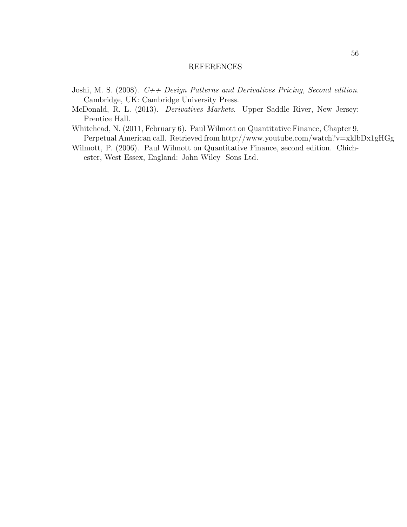### REFERENCES

- Joshi, M. S. (2008). C++ Design Patterns and Derivatives Pricing, Second edition. Cambridge, UK: Cambridge University Press.
- McDonald, R. L. (2013). Derivatives Markets. Upper Saddle River, New Jersey: Prentice Hall.
- Whitehead, N. (2011, February 6). Paul Wilmott on Quantitative Finance, Chapter 9, Perpetual American call. Retrieved from http://www.youtube.com/watch?v=xklbDx1gHGg

Wilmott, P. (2006). Paul Wilmott on Quantitative Finance, second edition. Chichester, West Essex, England: John Wiley Sons Ltd.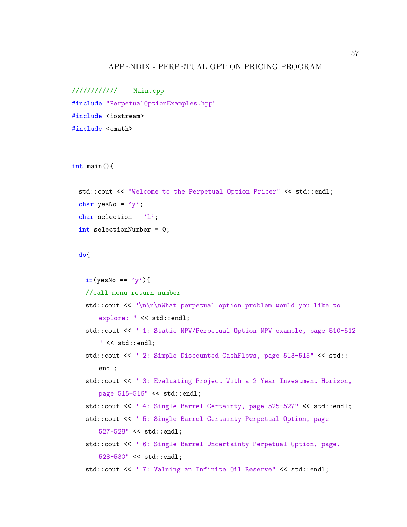```
//////////// Main.cpp
#include "PerpetualOptionExamples.hpp"
#include <iostream>
#include <cmath>
```
### int main(){

```
std::cout << "Welcome to the Perpetual Option Pricer" << std::endl;
char yesNo = 'y;
char selection = '1';
int selectionNumber = 0;
```
## do{

```
if(yesNo == 'y')//call menu return number
std::cout << "\n\n\nWhat perpetual option problem would you like to
   explore: " << std::endl;
std::cout << " 1: Static NPV/Perpetual Option NPV example, page 510-512
   " << std::endl;
std::cout << " 2: Simple Discounted CashFlows, page 513-515" << std::
   endl;
std::cout << " 3: Evaluating Project With a 2 Year Investment Horizon,
   page 515-516" << std::endl;
std::cout << " 4: Single Barrel Certainty, page 525-527" << std::endl;
std::cout << " 5: Single Barrel Certainty Perpetual Option, page
   527-528" << std::endl;
std::cout << " 6: Single Barrel Uncertainty Perpetual Option, page,
   528-530" << std::endl;
std::cout << " 7: Valuing an Infinite Oil Reserve" << std::endl;
```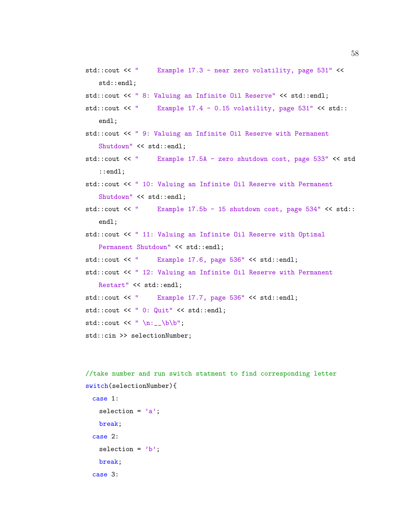std::cout << " Example 17.3 - near zero volatility, page 531" << std::endl;

std::cout << " 8: Valuing an Infinite Oil Reserve" << std::endl;

- std::cout <<  $"$  Example 17.4 0.15 volatility, page 531" << std:: endl;
- std::cout << " 9: Valuing an Infinite Oil Reserve with Permanent Shutdown" << std::endl;
- std::cout << " Example 17.5A zero shutdown cost, page 533" << std ::endl;
- std:: cout << " 10: Valuing an Infinite Oil Reserve with Permanent Shutdown" << std::endl;
- std::cout << " Example 17.5b 15 shutdown cost, page 534" << std:: endl;
- std:: cout << " 11: Valuing an Infinite Oil Reserve with Optimal Permanent Shutdown" << std::endl;

std::cout << " Example 17.6, page 536" << std::endl;

std:: cout << " 12: Valuing an Infinite Oil Reserve with Permanent Restart" << std::endl;

std::cout << " Example 17.7, page 536" << std::endl;

std::cout << " 0: Quit" << std::endl;

 $\texttt{std}:\texttt{count} \iff \texttt{m}:\_\b{\texttt{b}\b"};$ 

```
std::cin >> selectionNumber;
```

```
//take number and run switch statment to find corresponding letter
switch(selectionNumber){
 case 1:
   selection = 'a;
   break;
 case 2:
   selection = 'b';
   break;
 case 3:
```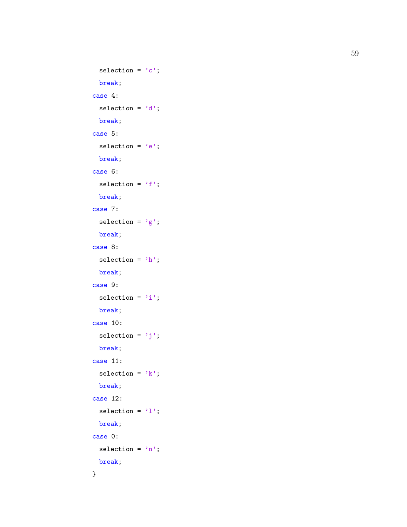```
\text{selection} = 'c';break
;
case 4:
   \text{selection} = \text{'d'};break
;
case 5:
   \text{selection} = \text{'e'};break
;
case 6:
   \text{selection} = \text{'f'};break
;
case 7:
   \text{selection} = 'g';break
;
case 8:
   \text{selection} = \{h\};
   break
;
case 9:
   \text{selection} = 'i';break
;
case 10:
   \text{selection} = 'j';break
;
case 11:
   \text{selection} = \{k'\};
   break
;
case 12:
   \text{selection} = '1';break
;
case 0:
   \text{selection} = \{n\};
   break
;
}
```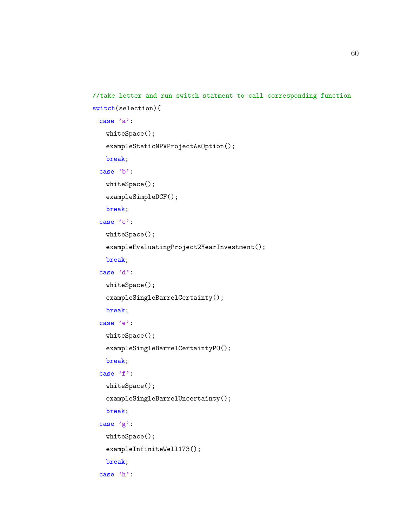```
//take letter and run switch statment to call corresponding function
switch(selection){
 case 'a':
   whiteSpace();
   exampleStaticNPVProjectAsOption();
   break;
 case 'b':
   whiteSpace();
   exampleSimpleDCF();
   break;
 case 'c':
   whiteSpace();
   exampleEvaluatingProject2YearInvestment();
   break;
 case 'd':
   whiteSpace();
   exampleSingleBarrelCertainty();
   break;
 case 'e':
   whiteSpace();
   exampleSingleBarrelCertaintyPO();
   break;
 case 'f':
   whiteSpace();
   exampleSingleBarrelUncertainty();
   break;
 case 'g':
   whiteSpace();
   exampleInfiniteWell173();
   break;
 case 'h':
```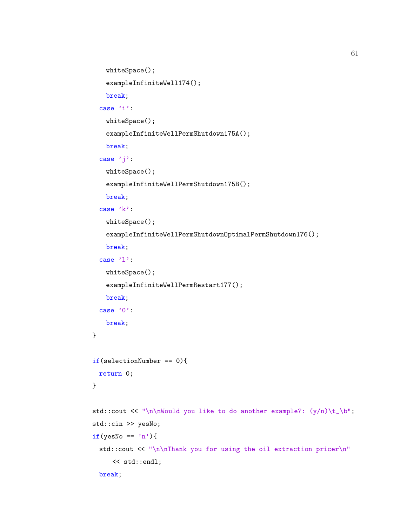```
whiteSpace();
   exampleInfiniteWell174();
   break;
 case 'i':
   whiteSpace();
   exampleInfiniteWellPermShutdown175A();
   break;
 case 'j':
   whiteSpace();
   exampleInfiniteWellPermShutdown175B();
   break;
 case 'k':
   whiteSpace();
   exampleInfiniteWellPermShutdownOptimalPermShutdown176();
   break;
 case 'l':
   whiteSpace();
   exampleInfiniteWellPermRestart177();
   break;
 case '0':
   break;
}
if(selectionNumber == 0){
 return 0;
}
std::cout << "\n\nWould you like to do another example?: (y/n)\t\downarrow\b\n";
std::cin >> yesNo;
if(yesNo == 'n'){
 std::cout << "\n\nThank you for using the oil extraction pricer\n"
     << std::endl;
 break;
```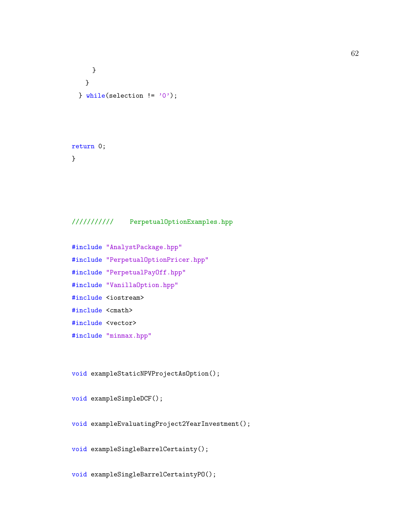```
}
 }
} while(selection != '0');
```

```
return 0;
}
```

```
/////////// PerpetualOptionExamples.hpp
```

```
#include "AnalystPackage.hpp"
#include "PerpetualOptionPricer.hpp"
#include "PerpetualPayOff.hpp"
#include "VanillaOption.hpp"
#include <iostream>
#include <cmath>
#include <vector>
#include "minmax.hpp"
```

```
void exampleStaticNPVProjectAsOption();
```

```
void exampleSimpleDCF();
```

```
void exampleEvaluatingProject2YearInvestment();
```

```
void exampleSingleBarrelCertainty();
```

```
void exampleSingleBarrelCertaintyPO();
```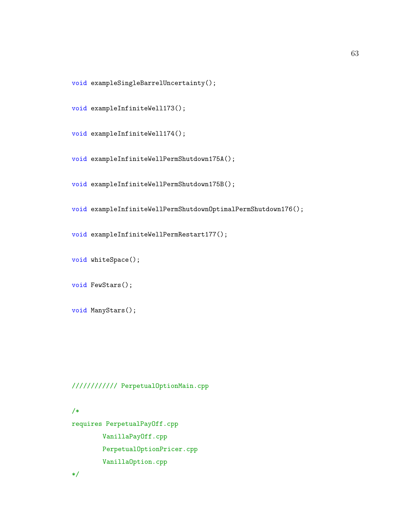void exampleSingleBarrelUncertainty();

```
void exampleInfiniteWell173();
```

```
void exampleInfiniteWell174();
```
void exampleInfiniteWellPermShutdown175A();

void exampleInfiniteWellPermShutdown175B();

void exampleInfiniteWellPermShutdownOptimalPermShutdown176();

void exampleInfiniteWellPermRestart177();

void whiteSpace();

void FewStars();

```
void ManyStars();
```
//////////// PerpetualOptionMain.cpp

/\* requires PerpetualPayOff.cpp VanillaPayOff.cpp PerpetualOptionPricer.cpp VanillaOption.cpp \*/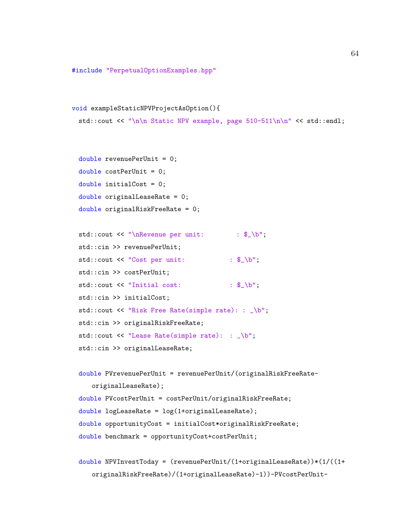```
#include "PerpetualOptionExamples.hpp"
```

```
void exampleStaticNPVProjectAsOption(){
 std::cout << "\n\n Static NPV example, page 510-511\n\n" << std::endl;
```

```
double revenuePerUnit = 0;
double costPerUnit = 0;
double initialCost = 0;
double originalLeaseRate = 0;
double originalRiskFreeRate = 0;
```

```
std::cout << "\nRevenue per unit: : \ \b";
std::cin >> revenuePerUnit;
std::cout << "Cost per unit: : \frac{1}{2} : \frac{1}{2} : \frac{1}{2}std::cin >> costPerUnit;
std::cout << "Initial cost: \qquad : \&\b";
std::cin >> initialCost;
std::cout << "Risk Free Rate(simple rate): : _\b";
std::cin >> originalRiskFreeRate;
std::cout << "Lease Rate(simple rate): : _\b";
std::cin >> originalLeaseRate;
```

```
double PVrevenuePerUnit = revenuePerUnit/(originalRiskFreeRate-
   originalLeaseRate);
double PVcostPerUnit = costPerUnit/originalRiskFreeRate;
double logLeaseRate = log(1+originalLeaseRate);
double opportunityCost = initialCost*originalRiskFreeRate;
double benchmark = opportunityCost+costPerUnit;
```

```
double NPVInvestToday = (revenuePerUnit/(1+originalLeaseRate))*(1/((1+
   originalRiskFreeRate)/(1+originalLeaseRate)-1))-PVcostPerUnit-
```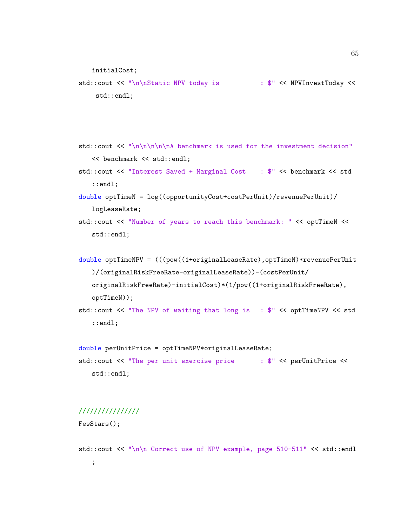initialCost;

```
std::cout << "\n\nStatic NPV today is : $" << NPVInvestToday <<
   std::endl;
```
- std::cout << "\n\n\n\nA benchmark is used for the investment decision" << benchmark << std::endl;
- std::cout << "Interest Saved + Marginal Cost : \$" << benchmark << std ::endl;
- double optTimeN = log((opportunityCost+costPerUnit)/revenuePerUnit)/ logLeaseRate;
- std::cout << "Number of years to reach this benchmark: " << optTimeN << std::endl;
- double optTimeNPV = (((pow((1+originalLeaseRate),optTimeN)\*revenuePerUnit )/(originalRiskFreeRate-originalLeaseRate))-(costPerUnit/ originalRiskFreeRate)-initialCost)\*(1/pow((1+originalRiskFreeRate), optTimeN));
- std::cout << "The NPV of waiting that long is : \$" << optTimeNPV << std ::endl;

double perUnitPrice = optTimeNPV\*originalLeaseRate; std::cout << "The per unit exercise price : \$" << perUnitPrice << std::endl;

## ////////////////

FewStars();

std::cout << "\n\n Correct use of NPV example, page 510-511" << std::endl ;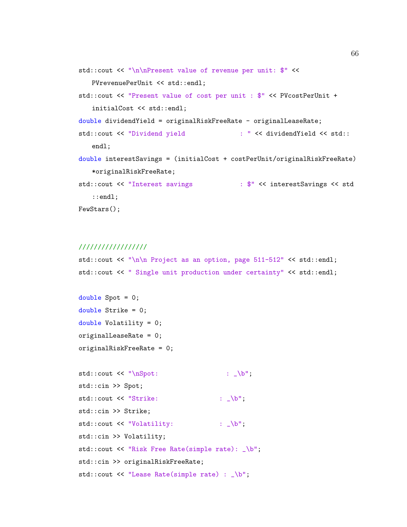```
std::cout << "\n\nPresent value of revenue per unit: $" <<
   PVrevenuePerUnit << std::endl;
std::cout << "Present value of cost per unit : $" << PVcostPerUnit +
   initialCost << std::endl;
double dividendYield = originalRiskFreeRate - originalLeaseRate;
std::cout << "Dividend yield : " << dividendYield << std::
   endl;
double interestSavings = (initialCost + costPerUnit/originalRiskFreeRate)
   *originalRiskFreeRate;
std::cout << "Interest savings < : $" << interestSavings << std
   ::endl;
FewStars();
```
## //////////////////

std::cout << "\n\n Project as an option, page 511-512" << std::endl; std::cout << " Single unit production under certainty" << std::endl;

```
double Spot = 0;
double Strike = 0;
double Volatility = 0;
originalLeaseRate = 0;
originalRiskFreeRate = 0;
```
 $\texttt{std::count} \: \texttt{<} \: \texttt{NSpot:} \: : \: \_\\b" ;$ std::cin >> Spot; std::cout  $\lt\lt$  "Strike: :  $\searrow$  :  $\searrow$  :  $\searrow$ std::cin >> Strike; std::cout << "Volatility:  $\qquad : \_ \backslash b"$ ; std::cin >> Volatility; std::cout << "Risk Free Rate(simple rate): \_\b"; std::cin >> originalRiskFreeRate; std::cout << "Lease Rate(simple rate) : \_\b";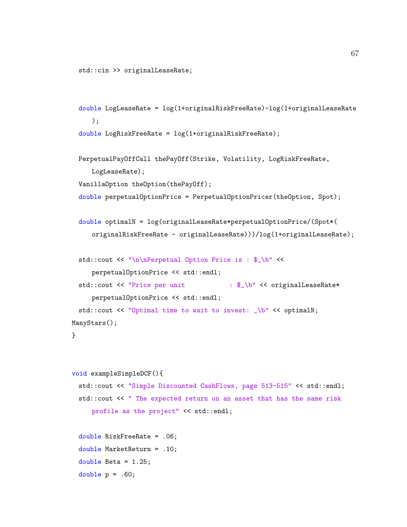```
std::cin >> originalLeaseRate;
 double LogLeaseRate = log(1+originalRiskFreeRate)-log(1+originalLeaseRate
     );
  double LogRiskFreeRate = log(1+originalRiskFreeRate);
 PerpetualPayOffCall thePayOff(Strike, Volatility, LogRiskFreeRate,
     LogLeaseRate);
 VanillaOption theOption(thePayOff);
  double perpetualOptionPrice = PerpetualOptionPricer(theOption, Spot);
 double optimalN = log(originalLeaseRate*perpetualOptionPrice/(Spot*(
     originalRiskFreeRate - originalLeaseRate)))/log(1+originalLeaseRate);
 std::cout << "\n\nPerpetual Option Price is : $_\b" <<
     perpetualOptionPrice << std::endl;
 std::cout << "Price per unit : $_\b" << originalLeaseRate*
     perpetualOptionPrice << std::endl;
 std::cout << "Optimal time to wait to invest: _\b" << optimalN;
ManyStars();
}
void exampleSimpleDCF(){
 std::cout << "Simple Discounted CashFlows, page 513-515" << std::endl;
 std::cout << " The expected return on an asset that has the same risk
     profile as the project" << std::endl;
 double RiskFreeRate = .06;
 double MarketReturn = .10;
```
double Beta = 1.25;

double  $p = .60$ ;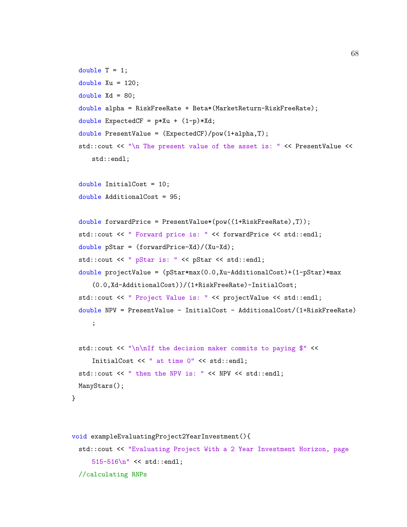```
double T = 1;
 double Xu = 120;
 double Xd = 80;
 double alpha = RiskFreeRate + Beta*(MarketReturn-RiskFreeRate);
 double ExpectedCF = p*Xu + (1-p)*Xd;double PresentValue = (ExpectedCF)/pow(1+alpha,T);
 std::cout << "\n The present value of the asset is: " << PresentValue <<
     std::endl;
 double InitialCost = 10;
 double AdditionalCost = 95;
 double forwardPrice = PresentValue*(pow((1+RiskFreeRate),T));
 std::cout << " Forward price is: " << forwardPrice << std::endl;
 double pStar = (forwardPrice-Xd)/(Xu-Xd);
 std::cout << " pStar is: " << pStar << std::endl;
 double projectValue = (pStar*max(0.0,Xu-AdditionalCost)+(1-pStar)*max(0.0,Xd-AdditionalCost))/(1+RiskFreeRate)-InitialCost;
 std::cout << " Project Value is: " << projectValue << std::endl;
 double NPV = PresentValue - InitialCost - AdditionalCost/(1+RiskFreeRate)
     ;
 std::cout << "\n\nIf the decision maker commits to paying $" <<
     InitialCost << " at time 0" << std::endl;
 std::cout << " then the NPV is: " << NPV << std::endl;
 ManyStars();
void exampleEvaluatingProject2YearInvestment(){
 std::cout << "Evaluating Project With a 2 Year Investment Horizon, page
```

```
515-516\n" << std::endl;
```

```
//calculating RNPs
```
}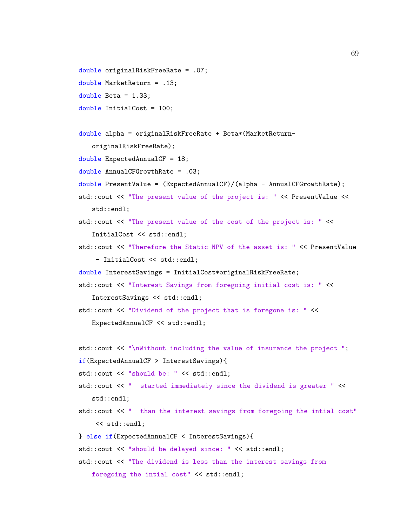```
double originalRiskFreeRate = .07;
double MarketReturn = .13;
double Beta = 1.33;
double InitialCost = 100;
double alpha = originalRiskFreeRate + Beta*(MarketReturn-
   originalRiskFreeRate);
double ExpectedAnnualCF = 18;
double AnnualCFGrowthRate = .03;
double PresentValue = (ExpectedAnnualCF)/(alpha - AnnualCFGrowthRate);
std::cout << "The present value of the project is: " << PresentValue <<
   std::endl;
std::cout << "The present value of the cost of the project is: " <<
   InitialCost << std::endl;
std::cout << "Therefore the Static NPV of the asset is: " << PresentValue
    - InitialCost << std::endl;
double InterestSavings = InitialCost*originalRiskFreeRate;
std::cout << "Interest Savings from foregoing initial cost is: " <<
   InterestSavings << std::endl;
std::cout << "Dividend of the project that is foregone is: " <<
   ExpectedAnnualCF << std::endl;
std::cout << "\nWithout including the value of insurance the project ";
if(ExpectedAnnualCF > InterestSavings){
std::cout << "should be: " << std::endl;
std::cout << " started immediateiy since the dividend is greater " <<
   std::endl;
std::cout << " than the interest savings from foregoing the intial cost"
    << std::endl;
} else if(ExpectedAnnualCF < InterestSavings){
std::cout << "should be delayed since: " << std::endl;
std::cout << "The dividend is less than the interest savings from
```

```
foregoing the intial cost" << std::endl;
```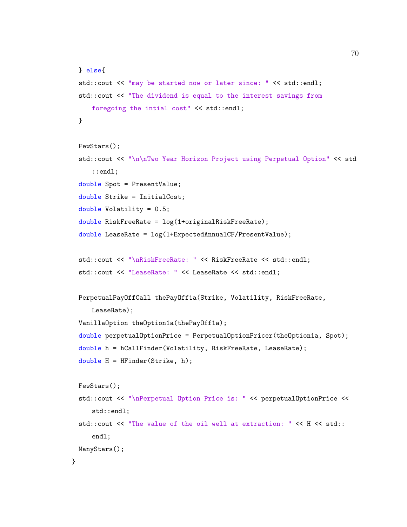```
} else{
std::cout << "may be started now or later since: " << std::endl;
std::cout << "The dividend is equal to the interest savings from
   foregoing the intial cost" << std::endl;
}
FewStars();
std::cout << "\n\nTwo Year Horizon Project using Perpetual Option" << std
   ::endl;
double Spot = PresentValue;
double Strike = InitialCost;
double Volatility = 0.5;
double RiskFreeRate = log(1+originalRiskFreeRate);
double LeaseRate = log(1+ExpectedAnnualCF/PresentValue);
std::cout << "\nRiskFreeRate: " << RiskFreeRate << std::endl;
std::cout << "LeaseRate: " << LeaseRate << std::endl;
PerpetualPayOffCall thePayOff1a(Strike, Volatility, RiskFreeRate,
   LeaseRate);
VanillaOption theOption1a(thePayOff1a);
double perpetualOptionPrice = PerpetualOptionPricer(theOption1a, Spot);
double h = hCallFinder(Volatility, RiskFreeRate, LeaseRate);
double H = HFinder(Strike, h);
FewStars();
std::cout << "\nPerpetual Option Price is: " << perpetualOptionPrice <<
   std::endl;
std::cout << "The value of the oil well at extraction: " << H << std::
   endl;
ManyStars();
```
}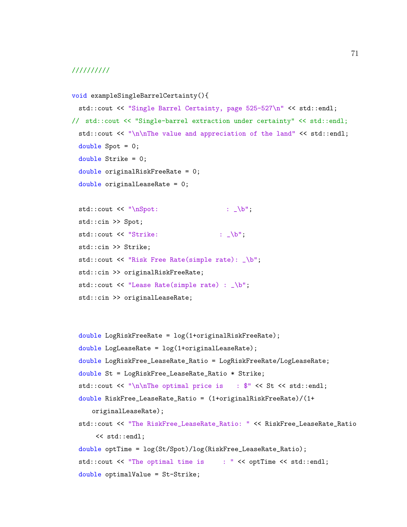## //////////

```
void exampleSingleBarrelCertainty(){
 std::cout << "Single Barrel Certainty, page 525-527\n" << std::endl;
// std::cout << "Single-barrel extraction under certainty" << std::endl;
 std::cout << "\n\nThe value and appreciation of the land" << std::endl;
 double Spot = 0;
 double Strike = 0;
 double originalRiskFreeRate = 0;
 double originalLeaseRate = 0;
 std::cout \langle \langle \rangle "\nSpot: : _\b";
 std::cin >> Spot;
 std::count \leq "Strike: : \searrow b";std::cin >> Strike;
 std::cout << "Risk Free Rate(simple rate): _\b";
```

```
std::cin >> originalRiskFreeRate;
```

```
std::cout << "Lease Rate(simple rate) : _\b";
```

```
std::cin >> originalLeaseRate;
```
double optimalValue = St-Strike;

```
double LogRiskFreeRate = log(1+originalRiskFreeRate);
double LogLeaseRate = log(1+originalLeaseRate);
double LogRiskFree_LeaseRate_Ratio = LogRiskFreeRate/LogLeaseRate;
double St = LogRiskFree_LeaseRate_Ratio * Strike;
std::cout << "\n\nThe optimal price is : \mathcal{F}' << St << std::endl;
double RiskFree_LeaseRate_Ratio = (1+originalRiskFreeRate)/(1+
   originalLeaseRate);
std::cout << "The RiskFree_LeaseRate_Ratio: " << RiskFree_LeaseRate_Ratio
    << std::endl;
double optTime = log(St/Spot)/log(RiskFree_LeaseRate_Ratio);
std::cout << "The optimal time is : " << optTime << std::endl;
```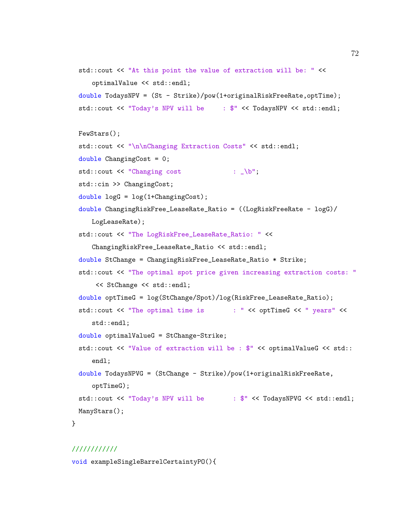```
std::cout << "At this point the value of extraction will be: " <<
   optimalValue << std::endl;
double TodaysNPV = (St - Strike)/pow(1+originalRiskFreeRate,optTime);
std::cout << "Today's NPV will be : $" << TodaysNPV << std::endl;
```
FewStars();

```
std::cout << "\n\nChanging Extraction Costs" << std::endl;
```

```
double ChangingCost = 0;
```
 $std::count \leq "Changing cost : \_\b\n$ :

std::cin >> ChangingCost;

```
double logG = log(1+ChangingCost);
```

```
double ChangingRiskFree_LeaseRate_Ratio = ((LogRiskFreeRate - logG)/
   LogLeaseRate);
```

```
std::cout << "The LogRiskFree_LeaseRate_Ratio: " <<
```
ChangingRiskFree\_LeaseRate\_Ratio << std::endl;

```
double StChange = ChangingRiskFree_LeaseRate_Ratio * Strike;
```

```
std::cout << "The optimal spot price given increasing extraction costs: "
    << StChange << std::endl;
```

```
double optTimeG = log(StChange/Spot)/log(RiskFree_LeaseRate_Ratio);
```

```
std::cout << "The optimal time is : " << optTimeG << " years" <<
   std::endl;
```

```
double optimalValueG = StChange-Strike;
```

```
std::cout << "Value of extraction will be : $" << optimalValueG << std::
   endl;
```

```
double TodaysNPVG = (StChange - Strike)/pow(1+originalRiskFreeRate,
   optTimeG);
```
std::cout << "Today's NPV will be : \$" << TodaysNPVG << std::endl; ManyStars();

}

# ////////////

```
void exampleSingleBarrelCertaintyPO(){
```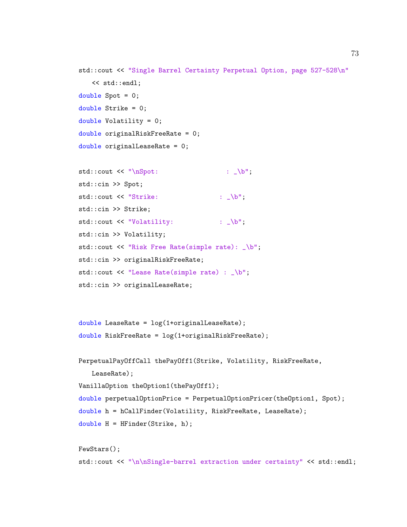```
std::cout << "Single Barrel Certainty Perpetual Option, page 527-528\n"
   << std::endl;
double Spot = 0;
double Strike = 0;
double Volatility = 0;
double originalRiskFreeRate = 0;
double originalLeaseRate = 0;
```

```
std::cout << "\nSpot: \qquad : _\b";
std::cin >> Spot;
std::cout << "Strike: :\Box\b";
std::cin >> Strike;
std::cout << "Volatility: \qquad : \Delta b";
std::cin >> Volatility;
std::cout << "Risk Free Rate(simple rate): _\b";
std::cin >> originalRiskFreeRate;
std::cout << "Lease Rate(simple rate) : _\b";
std::cin >> originalLeaseRate;
```

```
double LeaseRate = log(1+originalLeaseRate);
double RiskFreeRate = log(1+originalRiskFreeRate);
```

```
PerpetualPayOffCall thePayOff1(Strike, Volatility, RiskFreeRate,
   LeaseRate);
VanillaOption theOption1(thePayOff1);
double perpetualOptionPrice = PerpetualOptionPricer(theOption1, Spot);
double h = hCallFinder(Volatility, RiskFreeRate, LeaseRate);
double H = HFinder(Strike, h);
```

```
FewStars();
std::cout << "\n\nSingle-barrel extraction under certainty" << std::endl;
```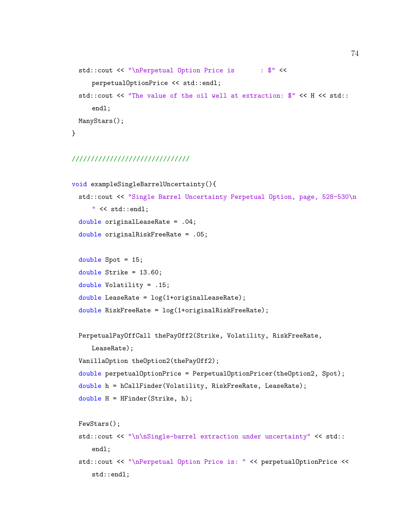```
std::cout << "\nPerpetual Option Price is : $" <<
   perpetualOptionPrice << std::endl;
std::cout << "The value of the oil well at extraction: $" << H << std::
   endl;
ManyStars();
```
# ///////////////////////////////

}

```
void exampleSingleBarrelUncertainty(){
 std::cout << "Single Barrel Uncertainty Perpetual Option, page, 528-530\n
     " << std::endl;
 double originalLeaseRate = .04;
 double originalRiskFreeRate = .05;
 double Spot = 15;
 double Strike = 13.60;
 double Volatility = .15;
 double LeaseRate = log(1+originalLeaseRate);
  double RiskFreeRate = log(1+originalRiskFreeRate);
 PerpetualPayOffCall thePayOff2(Strike, Volatility, RiskFreeRate,
     LeaseRate);
 VanillaOption theOption2(thePayOff2);
  double perpetualOptionPrice = PerpetualOptionPricer(theOption2, Spot);
  double h = hCallFinder(Volatility, RiskFreeRate, LeaseRate);
 double H = HFinder(Strike, h);
 FewStars();
 std::cout << "\n\nSingle-barrel extraction under uncertainty" << std::
```

```
endl;
```
std::cout << "\nPerpetual Option Price is: " << perpetualOptionPrice << std::endl;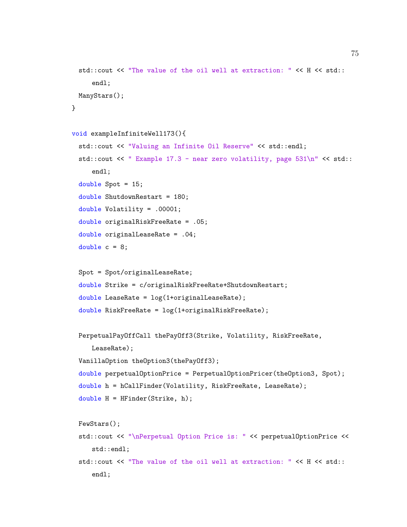```
std::cout << "The value of the oil well at extraction: " << H << std::
     endl;
 ManyStars();
}
void exampleInfiniteWell173(){
 std::cout << "Valuing an Infinite Oil Reserve" << std::endl;
 std::cout << " Example 17.3 - near zero volatility, page 531\n" << std::
     endl;
 double Spot = 15;
 double ShutdownRestart = 180;
 double Volatility = .00001;
 double originalRiskFreeRate = .05;
 double originalLeaseRate = .04;
  double c = 8;
 Spot = Spot/originalLeaseRate;
 double Strike = c/originalRiskFreeRate+ShutdownRestart;
 double LeaseRate = log(1+originalLeaseRate);
  double RiskFreeRate = log(1+originalRiskFreeRate);
 PerpetualPayOffCall thePayOff3(Strike, Volatility, RiskFreeRate,
     LeaseRate);
 VanillaOption theOption3(thePayOff3);
  double perpetualOptionPrice = PerpetualOptionPricer(theOption3, Spot);
  double h = hCallFinder(Volatility, RiskFreeRate, LeaseRate);
 double H = HFinder(Strike, h);
 FewStars();
 std::cout << "\nPerpetual Option Price is: " << perpetualOptionPrice <<
     std::endl;
```
std::cout << "The value of the oil well at extraction: " << H << std:: endl;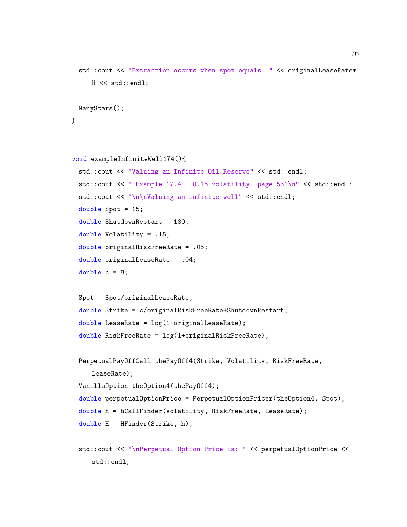```
std::cout << "Extraction occurs when spot equals: " << originalLeaseRate*
     H << std::endl;
 ManyStars();
}
void exampleInfiniteWell174(){
 std::cout << "Valuing an Infinite Oil Reserve" << std::endl;
 std::cout << " Example 17.4 - 0.15 volatility, page 531\" << std::endl;
 std::cout << "\n\nValuing an infinite well" << std::endl;
 double Spot = 15;
 double ShutdownRestart = 180;
 double Volatility = .15;
 double originalRiskFreeRate = .05;
 double originalLeaseRate = .04;
  double c = 8;
 Spot = Spot/originalLeaseRate;
 double Strike = c/originalRiskFreeRate+ShutdownRestart;
  double LeaseRate = log(1+originalLeaseRate);
  double RiskFreeRate = log(1+originalRiskFreeRate);
 PerpetualPayOffCall thePayOff4(Strike, Volatility, RiskFreeRate,
     LeaseRate);
 VanillaOption theOption4(thePayOff4);
 double perpetualOptionPrice = PerpetualOptionPricer(theOption4, Spot);
 double h = hCallFinder(Volatility, RiskFreeRate, LeaseRate);
 double H = HFinder(Strike, h);
```

```
std::cout << "\nPerpetual Option Price is: " << perpetualOptionPrice <<
   std::endl;
```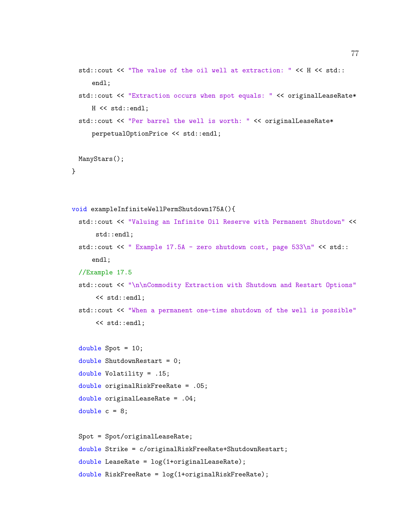- std::cout << "The value of the oil well at extraction: " << H << std:: endl;
- std::cout << "Extraction occurs when spot equals: " << originalLeaseRate\* H << std::endl;
- std::cout << "Per barrel the well is worth: " << originalLeaseRate\* perpetualOptionPrice << std::endl;

```
ManyStars();
```
}

```
void exampleInfiniteWellPermShutdown175A(){
```
- std::cout << "Valuing an Infinite Oil Reserve with Permanent Shutdown" << std::endl;
- std::cout << " Example 17.5A zero shutdown cost, page 533\n" << std:: endl;

```
//Example 17.5
```
- std::cout << "\n\nCommodity Extraction with Shutdown and Restart Options" << std::endl;
- std::cout << "When a permanent one-time shutdown of the well is possible" << std::endl;

```
double Spot = 10;
double ShutdownRestart = 0;
double Volatility = .15;
double originalRiskFreeRate = .05;
double originalLeaseRate = .04;
double c = 8;
```

```
Spot = Spot/originalLeaseRate;
double Strike = c/originalRiskFreeRate+ShutdownRestart;
double LeaseRate = log(1+originalLeaseRate);
double RiskFreeRate = log(1+originalRiskFreeRate);
```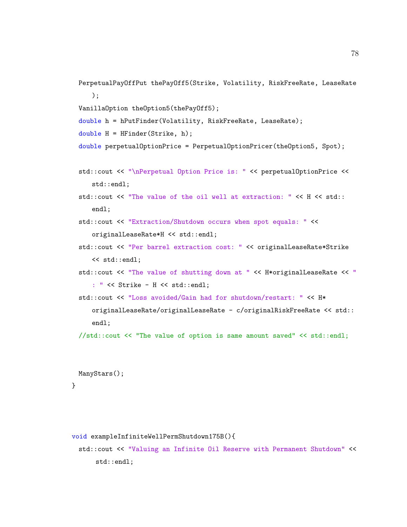PerpetualPayOffPut thePayOff5(Strike, Volatility, RiskFreeRate, LeaseRate );

VanillaOption theOption5(thePayOff5);

double h = hPutFinder(Volatility, RiskFreeRate, LeaseRate);

double H = HFinder(Strike, h);

double perpetualOptionPrice = PerpetualOptionPricer(theOption5, Spot);

std::cout << "\nPerpetual Option Price is: " << perpetualOptionPrice << std::endl;

std::cout << "The value of the oil well at extraction: " << H << std:: endl;

- std::cout << "Extraction/Shutdown occurs when spot equals: " << originalLeaseRate\*H << std::endl;
- std::cout << "Per barrel extraction cost: " << originalLeaseRate\*Strike << std::endl;
- std::cout << "The value of shutting down at " << H\*originalLeaseRate << " : " << Strike - H << std::endl;
- std::cout << "Loss avoided/Gain had for shutdown/restart: " << H\* originalLeaseRate/originalLeaseRate - c/originalRiskFreeRate << std:: endl;

//std::cout << "The value of option is same amount saved" << std::endl;

```
ManyStars();
```
}

void exampleInfiniteWellPermShutdown175B(){ std::cout << "Valuing an Infinite Oil Reserve with Permanent Shutdown" << std::endl;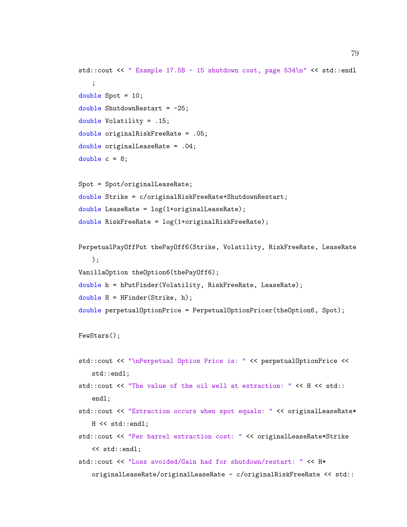```
std::cout << " Example 17.5B - 15 shutdown cost, page 534\n" << std::endl
   ;
double Spot = 10;
double ShutdownRestart = -25;
double Volatility = .15;
double originalRiskFreeRate = .05;
double originalLeaseRate = .04;
double c = 8;
Spot = Spot/originalLeaseRate;
```

```
double Strike = c/originalRiskFreeRate+ShutdownRestart;
double LeaseRate = log(1+originalLeaseRate);
double RiskFreeRate = log(1+originalRiskFreeRate);
```

```
PerpetualPayOffPut thePayOff6(Strike, Volatility, RiskFreeRate, LeaseRate
   );
VanillaOption theOption6(thePayOff6);
double h = hPutFinder(Volatility, RiskFreeRate, LeaseRate);
double H = HFinder(Strike, h);
double perpetualOptionPrice = PerpetualOptionPricer(theOption6, Spot);
```

```
FewStars();
```
- std::cout << "\nPerpetual Option Price is: " << perpetualOptionPrice << std::endl;
- std::cout << "The value of the oil well at extraction: " << H << std:: endl;
- std::cout << "Extraction occurs when spot equals: " << originalLeaseRate\* H << std::endl;
- std::cout << "Per barrel extraction cost: " << originalLeaseRate\*Strike << std::endl;
- std::cout << "Loss avoided/Gain had for shutdown/restart: " << H\* originalLeaseRate/originalLeaseRate - c/originalRiskFreeRate << std::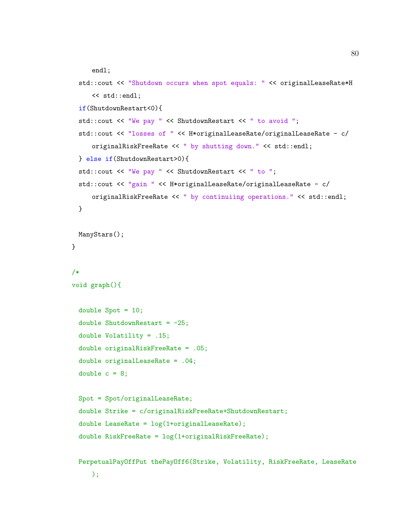```
endl;
 std::cout << "Shutdown occurs when spot equals: " << originalLeaseRate*H
     << std::endl;
  if(ShutdownRestart<0){
  std::cout << "We pay " << ShutdownRestart << " to avoid ";
  std::cout << "losses of " << H*originalLeaseRate/originalLeaseRate - c/
     originalRiskFreeRate << " by shutting down." << std::endl;
 } else if(ShutdownRestart>0){
 std::cout << "We pay " << ShutdownRestart << " to ";
 std::cout << "gain " << H*originalLeaseRate/originalLeaseRate - c/
     originalRiskFreeRate << " by continuiing operations." << std::endl;
 }
 ManyStars();
}
/*
void graph(){
 double Spot = 10;
 double ShutdownRestart = -25;
 double Volatility = .15;
 double originalRiskFreeRate = .05;
 double originalLeaseRate = .04;
 double c = 8;
 Spot = Spot/originalLeaseRate;
 double Strike = c/originalRiskFreeRate+ShutdownRestart;
 double LeaseRate = log(1+originalLeaseRate);
  double RiskFreeRate = log(1+originalRiskFreeRate);
 PerpetualPayOffPut thePayOff6(Strike, Volatility, RiskFreeRate, LeaseRate
```
);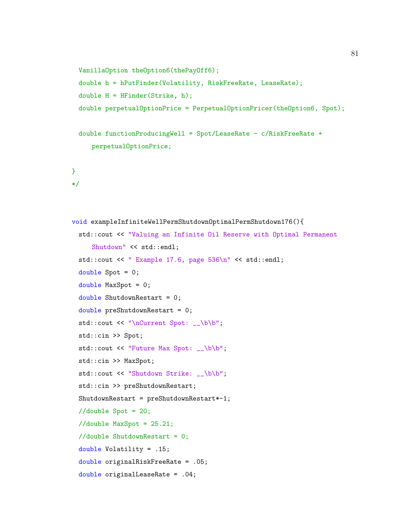```
VanillaOption theOption6(thePayOff6);
 double h = hPutFinder(Volatility, RiskFreeRate, LeaseRate);
 double H = HFinder(Strike, h);
 double perpetualOptionPrice = PerpetualOptionPricer(theOption6, Spot);
 double functionProducingWell = Spot/LeaseRate - c/RiskFreeRate +
     perpetualOptionPrice;
}
*/
void exampleInfiniteWellPermShutdownOptimalPermShutdown176(){
 std::cout << "Valuing an Infinite Oil Reserve with Optimal Permanent
     Shutdown" << std::endl;
 std::cout << " Example 17.6, page 536\n" << std::endl;
 double Spot = 0;
 double MaxSpot = 0;
 double ShutdownRestart = 0;
 double preShutdownRestart = 0;
 std::cout << "\nCurrent Spot: _\b\b";
 std::cin >> Spot;
 std::cout << "Future Max Spot: __\b\b";
 std::cin >> MaxSpot;
 std::cout << "Shutdown Strike: __\b\b";
 std::cin >> preShutdownRestart;
 ShutdownRestart = preShutdownRestart*-1;
 //double Spot = 20;
 //double MaxSpot = 25.21;
 //double ShutdownRestart = 0;
 double Volatility = .15;
 double originalRiskFreeRate = .05;
 double originalLeaseRate = .04;
```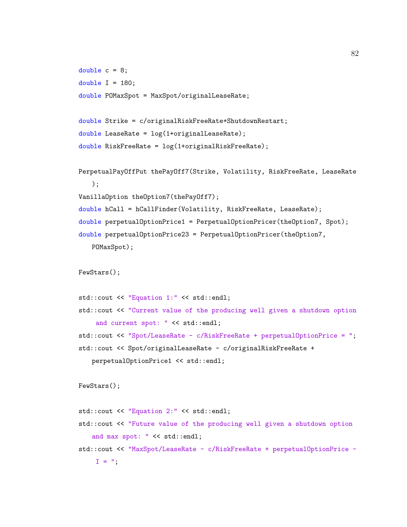```
double c = 8;
double I = 180;
double POMaxSpot = MaxSpot/originalLeaseRate;
double Strike = c/originalRiskFreeRate+ShutdownRestart;
double LeaseRate = log(1+originalLeaseRate);
double RiskFreeRate = log(1+originalRiskFreeRate);
PerpetualPayOffPut thePayOff7(Strike, Volatility, RiskFreeRate, LeaseRate
   );
VanillaOption theOption7(thePayOff7);
double hCall = hCallFinder(Volatility, RiskFreeRate, LeaseRate);
double perpetualOptionPrice1 = PerpetualOptionPricer(theOption7, Spot);
double perpetualOptionPrice23 = PerpetualOptionPricer(theOption7,
   POMaxSpot);
FewStars();
std::cout << "Equation 1:" << std::endl;
std::cout << "Current value of the producing well given a shutdown option
    and current spot: " << std::endl;
std::cout << "Spot/LeaseRate - c/RiskFreeRate + perpetualOptionPrice = ";
std::cout << Spot/originalLeaseRate - c/originalRiskFreeRate +
   perpetualOptionPrice1 << std::endl;
FewStars();
std::cout << "Equation 2:" << std::endl;
std::cout << "Future value of the producing well given a shutdown option
   and max spot: " << std::endl;
std::cout << "MaxSpot/LeaseRate - c/RiskFreeRate + perpetualOptionPrice -
    I = ";
```
82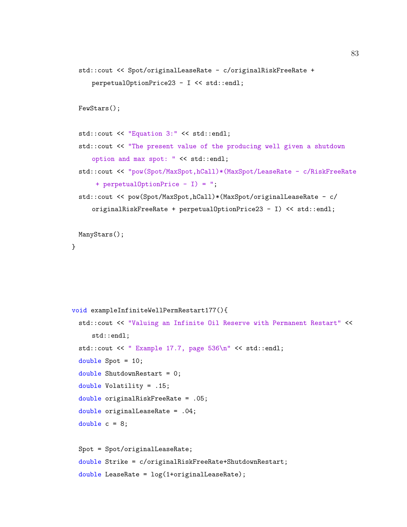```
std::cout << Spot/originalLeaseRate - c/originalRiskFreeRate +
     perpetualOptionPrice23 - I << std::endl;
 FewStars();
 std::cout << "Equation 3:" << std::endl;
 std::cout << "The present value of the producing well given a shutdown
     option and max spot: " << std::endl;
 std::cout << "pow(Spot/MaxSpot,hCall)*(MaxSpot/LeaseRate - c/RiskFreeRate
      + perpetualOptionPrice - I) = ";
 std::cout << pow(Spot/MaxSpot,hCall)*(MaxSpot/originalLeaseRate - c/
     originalRiskFreeRate + perpetualOptionPrice23 - I) << std::endl;
 ManyStars();
}
void exampleInfiniteWellPermRestart177(){
 std::cout << "Valuing an Infinite Oil Reserve with Permanent Restart" <<
     std::endl;
 std::cout << " Example 17.7, page 536\n" << std::endl;
 double Spot = 10;
 double ShutdownRestart = 0;
 double Volatility = .15;
 double originalRiskFreeRate = .05;
 double originalLeaseRate = .04;
 double c = 8;
 Spot = Spot/originalLeaseRate;
 double Strike = c/originalRiskFreeRate+ShutdownRestart;
 double LeaseRate = log(1+originalLeaseRate);
```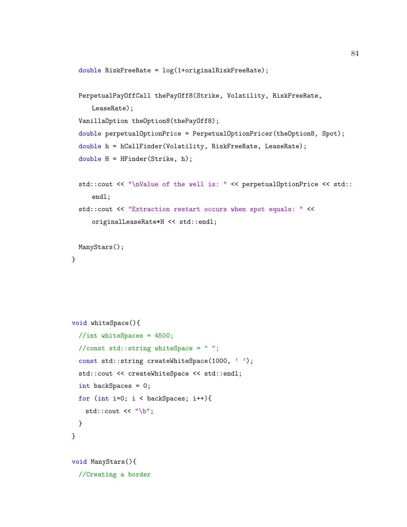```
double RiskFreeRate = log(1+originalRiskFreeRate);
```

```
PerpetualPayOffCall thePayOff8(Strike, Volatility, RiskFreeRate,
   LeaseRate);
VanillaOption theOption8(thePayOff8);
double perpetualOptionPrice = PerpetualOptionPricer(theOption8, Spot);
double h = hCallFinder(Volatility, RiskFreeRate, LeaseRate);
double H = HFinder(Strike, h);
std::cout << "\nValue of the well is: " << perpetualOptionPrice << std::
```

```
endl;
std::cout << "Extraction restart occurs when spot equals: " <<
```

```
originalLeaseRate*H << std::endl;
```

```
ManyStars();
```

```
}
```

```
void whiteSpace(){
 //int whiteSpaces = 4500;
 //const std::string whiteSpace = " ";
  const std::string createWhiteSpace(1000, '');
 std::cout << createWhiteSpace << std::endl;
  int backSpaces = 0;
 for (int i=0; i < backSpaces; i++){
    std::cout \langle \langle \nabla \cdot \cdot \cdot \rangle}
}
void ManyStars(){
  //Creating a border
```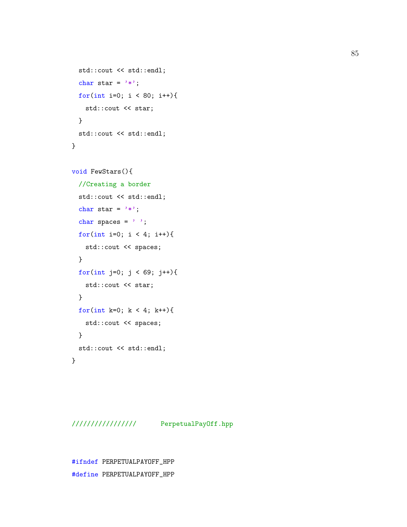```
std::cout << std::endl;
 char star = '*';
 for(int i=0; i < 80; i++){
   std::cout << star;
 }
 std::cout << std::endl;
}
```

```
void FewStars(){
 //Creating a border
  std::cout << std::endl;
  char star = '*';
  char spaces = ' ';
 for(int i=0; i < 4; i++){
   std::cout << spaces;
  }
 for(int j=0; j < 69; j++){
   std::cout << star;
  }
 for(int k=0; k < 4; k++){
   std::cout << spaces;
  }
 std::cout << std::endl;
}
```
///////////////// PerpetualPayOff.hpp

#ifndef PERPETUALPAYOFF\_HPP #define PERPETUALPAYOFF\_HPP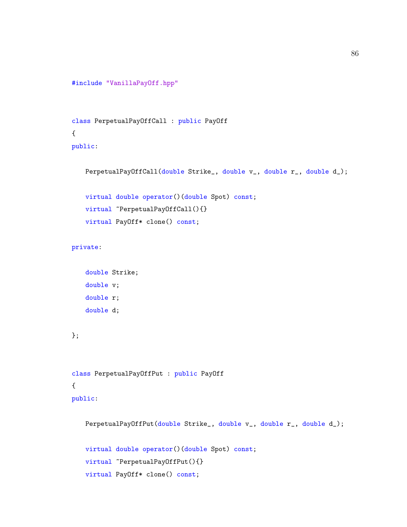```
#include "VanillaPayOff.hpp"
class PerpetualPayOffCall : public PayOff
{
public:
   PerpetualPayOffCall(double Strike_, double v_, double r_, double d_);
   virtual double operator()(double Spot) const;
   virtual "PerpetualPayOffCall(){}
   virtual PayOff* clone() const;
private:
   double Strike;
   double v;
   double r;
   double d;
};
class PerpetualPayOffPut : public PayOff
{
public:
   PerpetualPayOffPut(double Strike_, double v_, double r_, double d_);
   virtual double operator()(double Spot) const;
   virtual ~PerpetualPayOffPut(){}
   virtual PayOff* clone() const;
```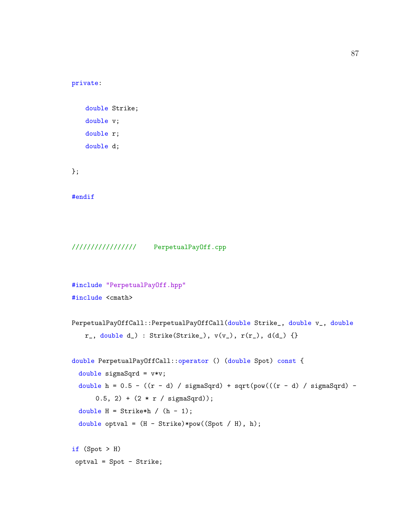```
private:
```

```
double Strike;
double v;
double r;
double d;
```

```
};
```
#endif

```
///////////////// PerpetualPayOff.cpp
```
#include "PerpetualPayOff.hpp"

#include <cmath>

```
PerpetualPayOffCall::PerpetualPayOffCall(double Strike_, double v_, double
   r_, double d_) : Strike(Strike_), v(v_), r(r_), d(d_) {}
double PerpetualPayOffCall::operator () (double Spot) const {
 double sigmaSqrd = v*v;
 double h = 0.5 - ((r - d) / sigmaSqrd) + sqrt(pow(((r - d) / sigmaSqrd) -
```
 $0.5, 2) + (2 * r / signaSqrd));$ double  $H = Strike*h / (h - 1);$ 

double optval =  $(H - Strike)*pow((Spot / H), h);$ 

```
if (Spot > H)
optval = Spot - Strike;
```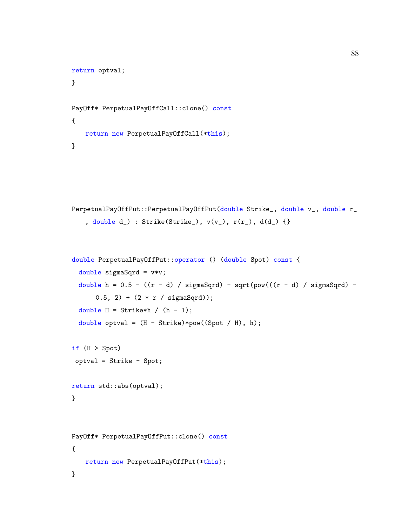```
return optval;
}
PayOff* PerpetualPayOffCall::clone() const
{
   return new PerpetualPayOffCall(*this);
}
```

```
PerpetualPayOffPut::PerpetualPayOffPut(double Strike_, double v_, double r_
    , double d_) : Strike(Strike_), v(v_{-}), r(r_{-}), d(d_{-}) {}
```

```
double PerpetualPayOffPut::operator () (double Spot) const {
 double sigmaSqrd = v*v;
 double h = 0.5 - ((r - d) / sigmaSqrd) - sqrt(pow(((r - d) / sigmaSqrd) -0.5, 2) + (2 * r / signaSqrd));double H = Strike*h / (h - 1);double optval = (H - Strike)*pow((Spot / H), h);if (H > Spot)
optval = Strike - Spot;
return std::abs(optval);
}
PayOff* PerpetualPayOffPut::clone() const
{
   return new PerpetualPayOffPut(*this);
}
```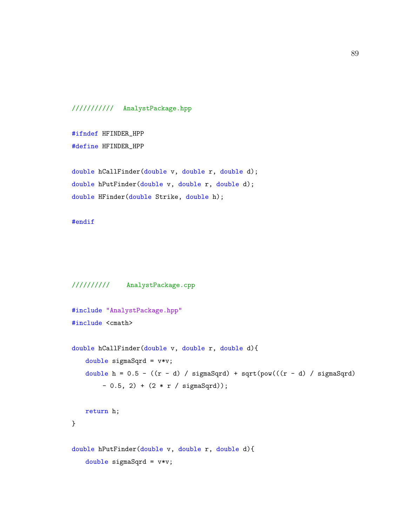```
/////////// AnalystPackage.hpp
```
#ifndef HFINDER\_HPP #define HFINDER\_HPP

double hCallFinder(double v, double r, double d); double hPutFinder(double v, double r, double d); double HFinder(double Strike, double h);

### #endif

## ////////// AnalystPackage.cpp

```
#include "AnalystPackage.hpp"
#include <cmath>
double hCallFinder(double v, double r, double d){
   double sigmaSqrd = v*v;
   double h = 0.5 - ((r - d) / sigmaSqrd) + sqrt(pow(((r - d) / sigmaSqrd)- 0.5, 2) + (2 * r / sigmaSqrd));
   return h;
}
double hPutFinder(double v, double r, double d){
   double sigmaSqrd = v*v;
```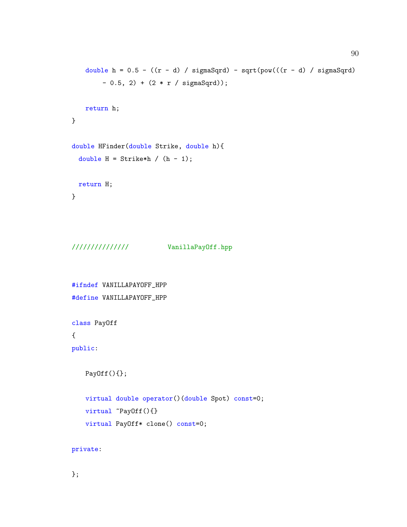```
double h = 0.5 - ((r - d) / sigmaSqrd) - sqrt(pow(((r - d) / sigmaSqrd)- 0.5, 2) + (2 * r / \text{sigmaSqrd};
   return h;
}
double HFinder(double Strike, double h){
 double H = Strike*h / (h - 1);return H;
}
/////////////// VanillaPayOff.hpp
```

```
#ifndef VANILLAPAYOFF_HPP
#define VANILLAPAYOFF_HPP
```

```
class PayOff
{
```
public:

```
PayOff(){};
```

```
virtual double operator()(double Spot) const=0;
virtual "PayOff(){}
virtual PayOff* clone() const=0;
```
## private: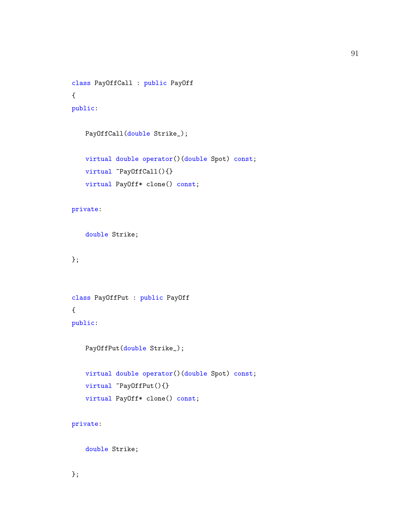```
class PayOffCall : public PayOff
{
public:
```

```
PayOffCall(double Strike_);
virtual double operator()(double Spot) const;
virtual ~PayOffCall(){}
virtual PayOff* clone() const;
```
### private:

double Strike;

};

```
class PayOffPut : public PayOff
{
public:
```

```
PayOffPut(double Strike_);
```

```
virtual double operator()(double Spot) const;
virtual ~PayOffPut(){}
virtual PayOff* clone() const;
```

```
private:
```
double Strike;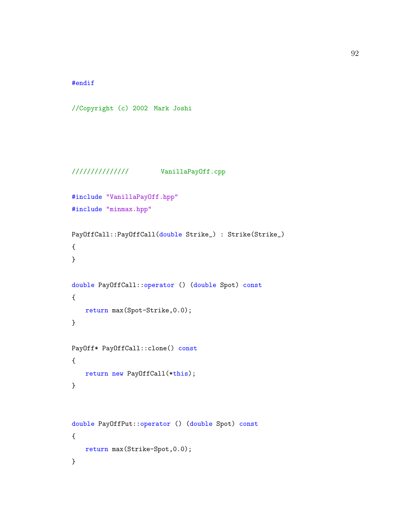#### #endif

```
//Copyright (c) 2002 Mark Joshi
```

```
/////////////// VanillaPayOff.cpp
```

```
#include "VanillaPayOff.hpp"
#include "minmax.hpp"
PayOffCall::PayOffCall(double Strike_) : Strike(Strike_)
{
}
double PayOffCall::operator () (double Spot) const
{
   return max(Spot-Strike,0.0);
}
PayOff* PayOffCall::clone() const
{
   return new PayOffCall(*this);
}
double PayOffPut::operator () (double Spot) const
{
   return max(Strike-Spot,0.0);
}
```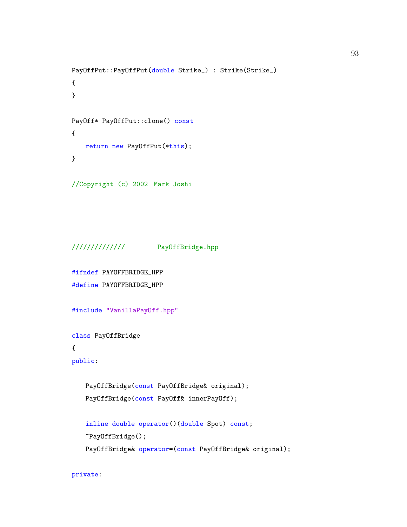```
PayOffPut::PayOffPut(double Strike_) : Strike(Strike_)
{
}
PayOff* PayOffPut::clone() const
{
   return new PayOffPut(*this);
}
//Copyright (c) 2002 Mark Joshi
```

```
////////////// PayOffBridge.hpp
```
#ifndef PAYOFFBRIDGE\_HPP #define PAYOFFBRIDGE\_HPP

#include "VanillaPayOff.hpp"

```
class PayOffBridge
{
public:
```

```
PayOffBridge(const PayOffBridge& original);
PayOffBridge(const PayOff& innerPayOff);
```

```
inline double operator()(double Spot) const;
~PayOffBridge();
PayOffBridge& operator=(const PayOffBridge& original);
```
### private: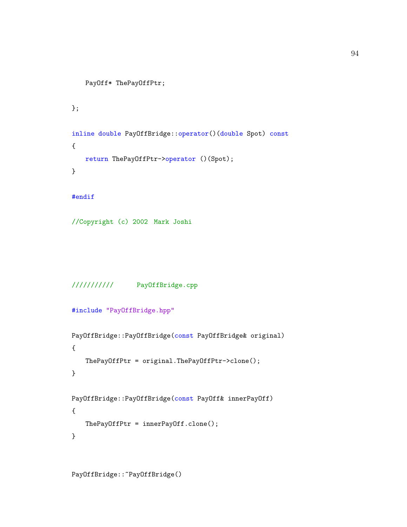```
PayOff* ThePayOffPtr;
};
inline double PayOffBridge::operator()(double Spot) const
{
   return ThePayOffPtr->operator ()(Spot);
}
```

```
#endif
```
}

```
//Copyright (c) 2002 Mark Joshi
```
# /////////// PayOffBridge.cpp

#include "PayOffBridge.hpp"

```
PayOffBridge::PayOffBridge(const PayOffBridge& original)
{
   ThePayOffPtr = original.ThePayOffPtr->clone();
}
PayOffBridge::PayOffBridge(const PayOff& innerPayOff)
{
   ThePayOffPtr = innerPayOff.clone();
```
PayOffBridge::~PayOffBridge()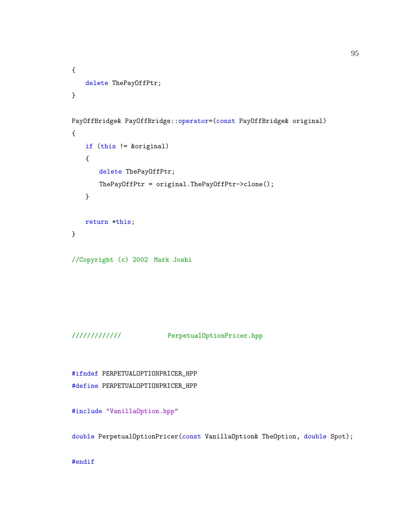```
{
   delete ThePayOffPtr;
}
PayOffBridge& PayOffBridge::operator=(const PayOffBridge& original)
{
   if (this != &original)
   {
       delete ThePayOffPtr;
       ThePayOffPtr = original.ThePayOffPtr->clone();
   }
   return *this;
}
//Copyright (c) 2002 Mark Joshi
```
///////////// PerpetualOptionPricer.hpp

#ifndef PERPETUALOPTIONPRICER\_HPP #define PERPETUALOPTIONPRICER\_HPP

#include "VanillaOption.hpp"

double PerpetualOptionPricer(const VanillaOption& TheOption, double Spot);

#endif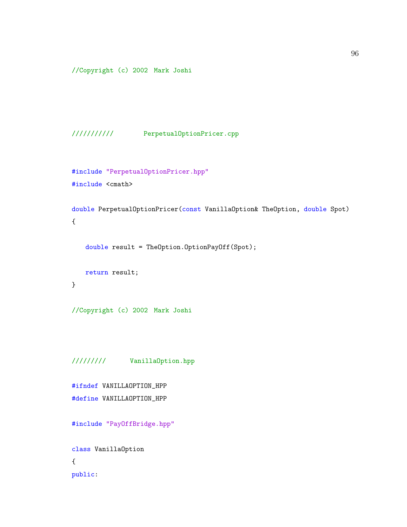//Copyright (c) 2002 Mark Joshi

```
/////////// PerpetualOptionPricer.cpp
```

```
#include "PerpetualOptionPricer.hpp"
#include <cmath>
```

```
double PerpetualOptionPricer(const VanillaOption& TheOption, double Spot)
{
```

```
double result = TheOption.OptionPayOff(Spot);
```

```
return result;
```

```
}
```

```
//Copyright (c) 2002 Mark Joshi
```
///////// VanillaOption.hpp

```
#ifndef VANILLAOPTION_HPP
#define VANILLAOPTION_HPP
```

```
#include "PayOffBridge.hpp"
```

```
class VanillaOption
{
public:
```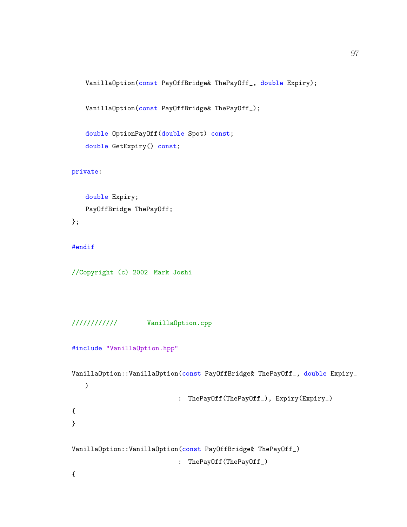VanillaOption(const PayOffBridge& ThePayOff\_, double Expiry);

```
VanillaOption(const PayOffBridge& ThePayOff_);
```

```
double OptionPayOff(double Spot) const;
double GetExpiry() const;
```
private:

double Expiry; PayOffBridge ThePayOff;

## };

{

#endif

//Copyright (c) 2002 Mark Joshi

//////////// VanillaOption.cpp

#include "VanillaOption.hpp"

```
VanillaOption::VanillaOption(const PayOffBridge& ThePayOff_, double Expiry_
   )
                            : ThePayOff(ThePayOff_), Expiry(Expiry_)
{
}
VanillaOption::VanillaOption(const PayOffBridge& ThePayOff_)
                            : ThePayOff(ThePayOff_)
```
97